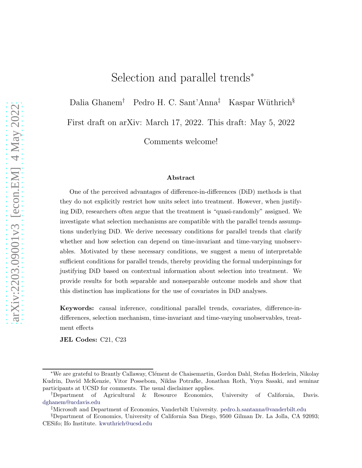# Selection and parallel trends<sup>∗</sup>

Dalia Ghanem<sup>†</sup> Pedro H. C. Sant'Anna<sup>‡</sup> Kaspar Wüthrich<sup>§</sup>

First draft on arXiv: March 17, 2022. This draft: May 5, 2022

Comments welcome!

### Abstract

One of the perceived advantages of difference-in-differences (DiD) methods is that they do not explicitly restrict how units select into treatment. However, when justifying DiD, researchers often argue that the treatment is "quasi-randomly" assigned. We investigate what selection mechanisms are compatible with the parallel trends assumptions underlying DiD. We derive necessary conditions for parallel trends that clarify whether and how selection can depend on time-invariant and time-varying unobservables. Motivated by these necessary conditions, we suggest a menu of interpretable sufficient conditions for parallel trends, thereby providing the formal underpinnings for justifying DiD based on contextual information about selection into treatment. We provide results for both separable and nonseparable outcome models and show that this distinction has implications for the use of covariates in DiD analyses.

Keywords: causal inference, conditional parallel trends, covariates, difference-indifferences, selection mechanism, time-invariant and time-varying unobservables, treatment effects

JEL Codes: C21, C23

<sup>∗</sup>We are grateful to Brantly Callaway, Cl´ement de Chaisemartin, Gordon Dahl, Stefan Hoderlein, Nikolay Kudrin, David McKenzie, Vitor Possebom, Niklas Potrafke, Jonathan Roth, Yuya Sasaki, and seminar participants at UCSD for comments. The usual disclaimer applies.

<sup>†</sup>Department of Agricultural & Resource Economics, University of California, Davis. <dghanem@ucdavis.edu>

<sup>‡</sup>Microsoft and Department of Economics, Vanderbilt University. <pedro.h.santanna@vanderbilt.edu>

<sup>§</sup>Department of Economics, University of California San Diego, 9500 Gilman Dr. La Jolla, CA 92093; CESifo; Ifo Institute. <kwuthrich@ucsd.edu>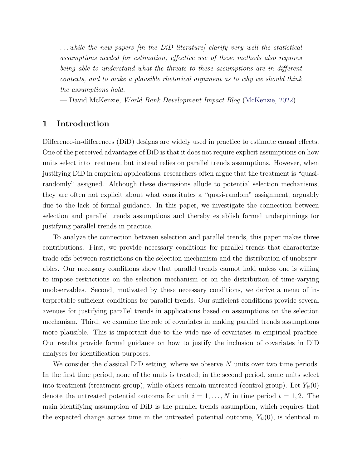. . . while the new papers [in the DiD literature] clarify very well the statistical assumptions needed for estimation, effective use of these methods also requires being able to understand what the threats to these assumptions are in different contexts, and to make a plausible rhetorical argument as to why we should think the assumptions hold.

— David McKenzie, World Bank Development Impact Blog [\(McKenzie,](#page-28-0) [2022\)](#page-28-0)

# 1 Introduction

Difference-in-differences (DiD) designs are widely used in practice to estimate causal effects. One of the perceived advantages of DiD is that it does not require explicit assumptions on how units select into treatment but instead relies on parallel trends assumptions. However, when justifying DiD in empirical applications, researchers often argue that the treatment is "quasirandomly" assigned. Although these discussions allude to potential selection mechanisms, they are often not explicit about what constitutes a "quasi-random" assignment, arguably due to the lack of formal guidance. In this paper, we investigate the connection between selection and parallel trends assumptions and thereby establish formal underpinnings for justifying parallel trends in practice.

To analyze the connection between selection and parallel trends, this paper makes three contributions. First, we provide necessary conditions for parallel trends that characterize trade-offs between restrictions on the selection mechanism and the distribution of unobservables. Our necessary conditions show that parallel trends cannot hold unless one is willing to impose restrictions on the selection mechanism or on the distribution of time-varying unobservables. Second, motivated by these necessary conditions, we derive a menu of interpretable sufficient conditions for parallel trends. Our sufficient conditions provide several avenues for justifying parallel trends in applications based on assumptions on the selection mechanism. Third, we examine the role of covariates in making parallel trends assumptions more plausible. This is important due to the wide use of covariates in empirical practice. Our results provide formal guidance on how to justify the inclusion of covariates in DiD analyses for identification purposes.

We consider the classical DiD setting, where we observe  $N$  units over two time periods. In the first time period, none of the units is treated; in the second period, some units select into treatment (treatment group), while others remain untreated (control group). Let  $Y_{it}(0)$ denote the untreated potential outcome for unit  $i = 1, \ldots, N$  in time period  $t = 1, 2$ . The main identifying assumption of DiD is the parallel trends assumption, which requires that the expected change across time in the untreated potential outcome,  $Y_{it}(0)$ , is identical in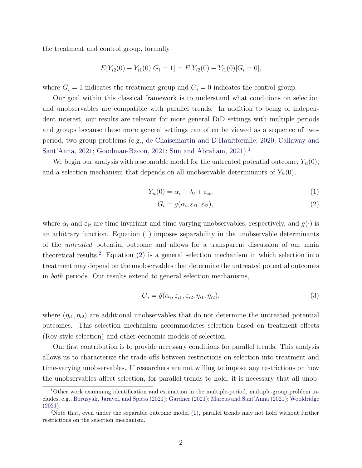the treatment and control group, formally

$$
E[Y_{i2}(0) - Y_{i1}(0)|G_i = 1] = E[Y_{i2}(0) - Y_{i1}(0)|G_i = 0],
$$

where  $G_i = 1$  indicates the treatment group and  $G_i = 0$  indicates the control group.

Our goal within this classical framework is to understand what conditions on selection and unobservables are compatible with parallel trends. In addition to being of independent interest, our results are relevant for more general DiD settings with multiple periods and groups because these more general settings can often be viewed as a sequence of twoperiod, two-group problems (e.g., [de Chaisemartin and D'Haultfœuille](#page-27-0)[,](#page-26-0) [2020;](#page-27-0) Callaway and Sant'Anna, [2021;](#page-26-0) [Goodman-Bacon,](#page-27-1) [2021](#page-27-1); [Sun and Abraham](#page-29-0), [2021\)](#page-29-0).<sup>[1](#page-2-0)</sup>

We begin our analysis with a separable model for the untreated potential outcome,  $Y_{it}(0)$ , and a selection mechanism that depends on all unobservable determinants of  $Y_{it}(0)$ ,

$$
Y_{it}(0) = \alpha_i + \lambda_t + \varepsilon_{it},\tag{1}
$$

<span id="page-2-3"></span><span id="page-2-1"></span>
$$
G_i = g(\alpha_i, \varepsilon_{i1}, \varepsilon_{i2}), \tag{2}
$$

where  $\alpha_i$  and  $\varepsilon_{it}$  are time-invariant and time-varying unobservables, respectively, and  $g(\cdot)$  is an arbitrary function. Equation [\(1\)](#page-2-1) imposes separability in the unobservable determinants of the untreated potential outcome and allows for a transparent discussion of our main theoretical results.<sup>[2](#page-2-2)</sup> Equation  $(2)$  is a general selection mechanism in which selection into treatment may depend on the unobservables that determine the untreated potential outcomes in both periods. Our results extend to general selection mechanisms,

$$
G_i = \check{g}(\alpha_i, \varepsilon_{i1}, \varepsilon_{i2}, \eta_{i1}, \eta_{i2}). \tag{3}
$$

where  $(\eta_{i1}, \eta_{i2})$  are additional unobservables that do not determine the untreated potential outcomes. This selection mechanism accommodates selection based on treatment effects (Roy-style selection) and other economic models of selection.

Our first contribution is to provide necessary conditions for parallel trends. This analysis allows us to characterize the trade-offs between restrictions on selection into treatment and time-varying unobservables. If researchers are not willing to impose any restrictions on how the unobservables affect selection, for parallel trends to hold, it is necessary that all unob-

<span id="page-2-0"></span><sup>1</sup>Other work examining identification and estimation in the multiple-period, multiple-group problem includes, e.g., [Borusyak, Jaravel, and Spiess](#page-26-1) [\(2021\)](#page-26-1); [Gardner](#page-27-2) [\(2021](#page-27-2)); [Marcus and Sant'Anna](#page-28-1) [\(2021\)](#page-28-1); [Wooldridge](#page-29-1) [\(2021](#page-29-1)).

<span id="page-2-2"></span><sup>&</sup>lt;sup>2</sup>Note that, even under the separable outcome model [\(1\)](#page-2-1), parallel trends may not hold without further restrictions on the selection mechanism.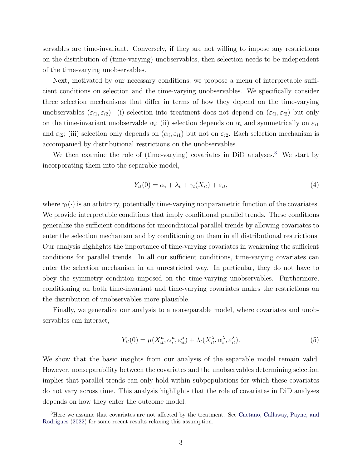servables are time-invariant. Conversely, if they are not willing to impose any restrictions on the distribution of (time-varying) unobservables, then selection needs to be independent of the time-varying unobservables.

Next, motivated by our necessary conditions, we propose a menu of interpretable sufficient conditions on selection and the time-varying unobservables. We specifically consider three selection mechanisms that differ in terms of how they depend on the time-varying unobservables  $(\varepsilon_{i1}, \varepsilon_{i2})$ : (i) selection into treatment does not depend on  $(\varepsilon_{i1}, \varepsilon_{i2})$  but only on the time-invariant unobservable  $\alpha_i$ ; (ii) selection depends on  $\alpha_i$  and symmetrically on  $\varepsilon_{i1}$ and  $\varepsilon_{i2}$ ; (iii) selection only depends on  $(\alpha_i, \varepsilon_{i1})$  but not on  $\varepsilon_{i2}$ . Each selection mechanism is accompanied by distributional restrictions on the unobservables.

We then examine the role of (time-varying) covariates in DiD analyses.<sup>[3](#page-3-0)</sup> We start by incorporating them into the separable model,

<span id="page-3-1"></span>
$$
Y_{it}(0) = \alpha_i + \lambda_t + \gamma_t(X_{it}) + \varepsilon_{it},\tag{4}
$$

where  $\gamma_t(\cdot)$  is an arbitrary, potentially time-varying nonparametric function of the covariates. We provide interpretable conditions that imply conditional parallel trends. These conditions generalize the sufficient conditions for unconditional parallel trends by allowing covariates to enter the selection mechanism and by conditioning on them in all distributional restrictions. Our analysis highlights the importance of time-varying covariates in weakening the sufficient conditions for parallel trends. In all our sufficient conditions, time-varying covariates can enter the selection mechanism in an unrestricted way. In particular, they do not have to obey the symmetry condition imposed on the time-varying unobservables. Furthermore, conditioning on both time-invariant and time-varying covariates makes the restrictions on the distribution of unobservables more plausible.

Finally, we generalize our analysis to a nonseparable model, where covariates and unobservables can interact,

<span id="page-3-2"></span>
$$
Y_{it}(0) = \mu(X_{it}^{\mu}, \alpha_i^{\mu}, \varepsilon_{it}^{\mu}) + \lambda_t(X_{it}^{\lambda}, \alpha_i^{\lambda}, \varepsilon_{it}^{\lambda}).
$$
\n(5)

We show that the basic insights from our analysis of the separable model remain valid. However, nonseparability between the covariates and the unobservables determining selection implies that parallel trends can only hold within subpopulations for which these covariates do not vary across time. This analysis highlights that the role of covariates in DiD analyses depends on how they enter the outcome model.

<span id="page-3-0"></span><sup>&</sup>lt;sup>3</sup>Here [we assume that covariates are not affected by the treatment. See](#page-26-2) Caetano, Callaway, Payne, and Rodrigues [\(2022](#page-26-2)) for some recent results relaxing this assumption.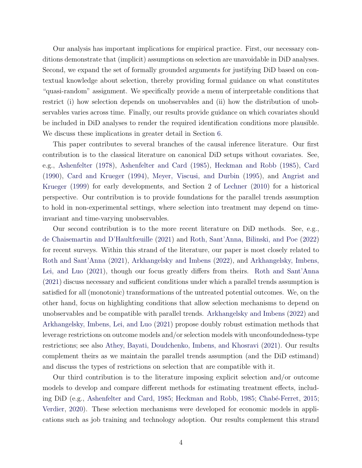Our analysis has important implications for empirical practice. First, our necessary conditions demonstrate that (implicit) assumptions on selection are unavoidable in DiD analyses. Second, we expand the set of formally grounded arguments for justifying DiD based on contextual knowledge about selection, thereby providing formal guidance on what constitutes "quasi-random" assignment. We specifically provide a menu of interpretable conditions that restrict (i) how selection depends on unobservables and (ii) how the distribution of unobservables varies across time. Finally, our results provide guidance on which covariates should be included in DiD analyses to render the required identification conditions more plausible. We discuss these implications in greater detail in Section [6.](#page-24-0)

This paper contributes to several branches of the causal inference literature. Our first contribution is to the classical literature on canonical DiD setups without covariates. See, e.g., [Ashenfelter](#page-26-3) [\(1978\)](#page-26-3), [Ashenfelter and Card](#page-26-4) [\(1985\)](#page-26-4), [Heckman and Robb](#page-28-2) [\(1985](#page-28-2)), [Card](#page-26-5) [\(1990](#page-26-5)), [Card and Krueger](#page-26-6) [\(1994](#page-26-6)), [Meyer, Viscusi, and Durbin](#page-28-3) [\(1995](#page-28-3)), and Angrist and Krueger [\(1999\)](#page-25-0) for early developments, and Section 2 of [Lechner](#page-28-4) [\(2010](#page-28-4)) for a historical perspective. Our contribution is to provide foundations for the parallel trends assumption to hold in non-experimental settings, where selection into treatment may depend on timeinvariant and time-varying unobservables.

Our second contribution is to the more recent literature on DiD methods. See, e.g., [de Chaisemartin and D'Haultfœuille](#page-27-3) [\(2021](#page-27-3)) and [Roth, Sant'Anna, Bilinski, and Poe](#page-29-2) [\(2022\)](#page-29-2) for recent surveys. Within this strand of the literature, our paper is most closely related to [Roth and Sant'Anna](#page-28-5) [\(2021\)](#page-28-5), [Arkhangelsky and Imbens](#page-26-7) [\(2022\)](#page-26-7), and Arkhangelsky, Imbens, Lei, and Luo [\(2021](#page-26-8)), though our focus greatly differs from theirs. [Roth and Sant'Anna](#page-28-5) [\(2021](#page-28-5)) discuss necessary and sufficient conditions under which a parallel trends assumption is satisfied for all (monotonic) transformations of the untreated potential outcomes. We, on the other hand, focus on highlighting conditions that allow selection mechanisms to depend on unobservables and be compatible with parallel trends. [Arkhangelsky and Imbens](#page-26-7) [\(2022](#page-26-7)) and [Arkhangelsky, Imbens, Lei, and Luo](#page-26-8) [\(2021](#page-26-8)) propose doubly robust estimation methods that leverage restrictions on outcome models and/or selection models with unconfoundedness-type restrictions; see also [Athey, Bayati, Doudchenko, Imbens, and Khosravi](#page-26-9) [\(2021\)](#page-26-9). Our results complement theirs as we maintain the parallel trends assumption (and the DiD estimand) and discuss the types of restrictions on selection that are compatible with it.

Our third contribution is to the literature imposing explicit selection and/or outcome models to develop and compare different methods for estimating treatment effects, includ-ing DiD (e.g., [Ashenfelter and Card](#page-26-4), [1985;](#page-28-2) [Heckman and Robb,](#page-28-2) 1985; Chabé-Ferret, [2015;](#page-27-4) [Verdier,](#page-29-3) [2020](#page-29-3)). These selection mechanisms were developed for economic models in applications such as job training and technology adoption. Our results complement this strand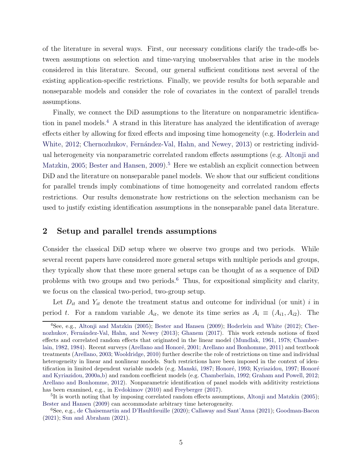of the literature in several ways. First, our necessary conditions clarify the trade-offs between assumptions on selection and time-varying unobservables that arise in the models considered in this literature. Second, our general sufficient conditions nest several of the existing application-specific restrictions. Finally, we provide results for both separable and nonseparable models and consider the role of covariates in the context of parallel trends assumptions.

Finally, we connect the DiD assumptions to the literature on nonparametric identifica-tion in panel models.<sup>[4](#page-5-0)</sup> A strand in this literature has analyzed the identification of average effect[s either by allowing for fixed effects and imposing time homogeneity \(e.g.](#page-28-6) Hoderlein and White, [2012](#page-28-6); Chernozhukov, Fernández-Val, Hahn, and Newey, [2013](#page-27-5)) or restricting individual hete[rogeneity via nonparametric correlated random effects assumptions \(e.g.](#page-25-1) Altonji and Matzkin, [2005](#page-25-1); [Bester and Hansen,](#page-26-10) [2009](#page-26-10)).<sup>[5](#page-5-1)</sup> Here we establish an explicit connection between DiD and the literature on nonseparable panel models. We show that our sufficient conditions for parallel trends imply combinations of time homogeneity and correlated random effects restrictions. Our results demonstrate how restrictions on the selection mechanism can be used to justify existing identification assumptions in the nonseparable panel data literature.

# 2 Setup and parallel trends assumptions

Consider the classical DiD setup where we observe two groups and two periods. While several recent papers have considered more general setups with multiple periods and groups, they typically show that these more general setups can be thought of as a sequence of DiD problems with two groups and two periods.[6](#page-5-2) Thus, for expositional simplicity and clarity, we focus on the classical two-period, two-group setup.

Let  $D_{it}$  and  $Y_{it}$  denote the treatment status and outcome for individual (or unit) i in period t. For a random variable  $A_{it}$ , we denote its time series as  $A_i \equiv (A_{i1}, A_{i2})$ . The

<span id="page-5-0"></span><sup>4</sup>See, e.g., [Altonji and Matzkin](#page-25-1) [\(2005\)](#page-25-1); [Bester and Hansen](#page-26-10) [\(2009\)](#page-26-10); [Hoderlein and White](#page-28-6) [\(2012](#page-28-6)); Cher-nozhukov, Fernández-Val, Hahn, and Newey [\(2013\)](#page-27-5); [Ghanem](#page-27-6) [\(2017](#page-27-6)). This work extends notions of fixed effe[cts and correlated random effects that originated in the linear model](#page-27-7) [\(Mundlak](#page-28-7)[,](#page-27-7) [1961](#page-28-7), [1978](#page-28-8); Chamber-lain, [1982,](#page-27-7) [1984](#page-27-8)). Recent surveys (Arellano and Honoré, [2001;](#page-25-2) [Arellano and Bonhomme](#page-25-3), [2011\)](#page-25-3) and textbook treatments [\(Arellano](#page-25-4), [2003;](#page-25-4) [Wooldridge,](#page-29-4) [2010](#page-29-4)) further describe the role of restrictions on time and individual heterogeneity in linear and nonlinear models. Such restrictions have been imposed in the context of identification in li[mited dependent variable models \(e.g.](#page-28-12) [Manski,](#page-28-9) [1987](#page-28-9); Honoré, [1993;](#page-28-10) [Kyriazidou,](#page-28-11) [1997;](#page-28-11) Honoré and Kyriazidou, [2000a](#page-28-12)[,b\)](#page-28-13) and random coefficient models (e.g. [Chamberlain,](#page-27-9) [1992](#page-27-9); [Graham and Powell](#page-27-10), [2012](#page-27-10); [Arellano and Bonhomme,](#page-25-5) [2012](#page-25-5)). Nonparametric identification of panel models with additivity restrictions has been examined, e.g., in [Evdokimov](#page-27-11) [\(2010](#page-27-11)) and [Freyberger](#page-27-12) [\(2017\)](#page-27-12).

<span id="page-5-1"></span><sup>&</sup>lt;sup>5</sup>It is worth noting that by imposing correlated random effects assumptions, [Altonji and Matzkin](#page-25-1) [\(2005\)](#page-25-1); [Bester and Hansen](#page-26-10) [\(2009\)](#page-26-10) can accommodate arbitrary time heterogeneity.

<span id="page-5-2"></span><sup>6</sup>See, e.g., [de Chaisemartin and D'Haultfœuille](#page-27-0) [\(2020\)](#page-27-0); [Callaway and Sant'Anna](#page-26-0) [\(2021\)](#page-26-0); [Goodman-Bacon](#page-27-1) [\(2021](#page-27-1)); [Sun and Abraham](#page-29-0) [\(2021](#page-29-0)).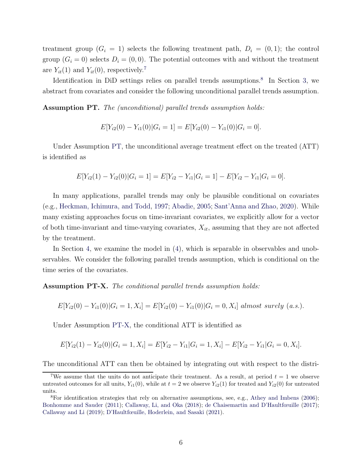treatment group  $(G_i = 1)$  selects the following treatment path,  $D_i = (0, 1)$ ; the control group  $(G_i = 0)$  selects  $D_i = (0, 0)$ . The potential outcomes with and without the treatment are  $Y_{it}(1)$  and  $Y_{it}(0)$ , respectively.<sup>[7](#page-6-0)</sup>

Identification in DiD settings relies on parallel trends assumptions.<sup>[8](#page-6-1)</sup> In Section [3,](#page-7-0) we abstract from covariates and consider the following unconditional parallel trends assumption.

<span id="page-6-2"></span>Assumption PT. The (unconditional) parallel trends assumption holds:

$$
E[Y_{i2}(0) - Y_{i1}(0)|G_i = 1] = E[Y_{i2}(0) - Y_{i1}(0)|G_i = 0].
$$

Under Assumption [PT,](#page-6-2) the unconditional average treatment effect on the treated (ATT) is identified as

$$
E[Y_{i2}(1) - Y_{i2}(0)|G_i = 1] = E[Y_{i2} - Y_{i1}|G_i = 1] - E[Y_{i2} - Y_{i1}|G_i = 0].
$$

In many applications, parallel trends may only be plausible conditional on covariates (e.g., [Heckman, Ichimura, and Todd](#page-28-14), [1997](#page-28-14); [Abadie,](#page-25-6) [2005;](#page-25-6) [Sant'Anna and Zhao](#page-29-5), [2020](#page-29-5)). While many existing approaches focus on time-invariant covariates, we explicitly allow for a vector of both time-invariant and time-varying covariates,  $X_{it}$ , assuming that they are not affected by the treatment.

In Section [4,](#page-16-0) we examine the model in [\(4\)](#page-3-1), which is separable in observables and unobservables. We consider the following parallel trends assumption, which is conditional on the time series of the covariates.

<span id="page-6-3"></span>Assumption PT-X. The conditional parallel trends assumption holds:

$$
E[Y_{i2}(0) - Y_{i1}(0)|G_i = 1, X_i] = E[Y_{i2}(0) - Y_{i1}(0)|G_i = 0, X_i] \text{ almost surely } (a.s.).
$$

Under Assumption [PT-X,](#page-6-3) the conditional ATT is identified as

$$
E[Y_{i2}(1) - Y_{i2}(0)|G_i = 1, X_i] = E[Y_{i2} - Y_{i1}|G_i = 1, X_i] - E[Y_{i2} - Y_{i1}|G_i = 0, X_i].
$$

The unconditional ATT can then be obtained by integrating out with respect to the distri-

<span id="page-6-0"></span><sup>&</sup>lt;sup>7</sup>We assume that the units do not anticipate their treatment. As a result, at period  $t = 1$  we observe untreated outcomes for all units,  $Y_{i1}(0)$ , while at  $t = 2$  we observe  $Y_{i2}(1)$  for treated and  $Y_{i2}(0)$  for untreated units.

<span id="page-6-1"></span><sup>&</sup>lt;sup>8</sup>For identification strategies that rely on alternative assumptions, see, e.g., [Athey and Imbens](#page-26-11) [\(2006\)](#page-26-11); [Bonhomme and Sauder](#page-26-12) [\(2011\)](#page-26-12); [Callaway, Li, and Oka](#page-26-13) [\(2018\)](#page-26-13); [de Chaisemartin and D'Haultfœuille](#page-27-13) [\(2017\)](#page-27-13); [Callaway and Li](#page-26-14) [\(2019](#page-26-14)); [D'Haultfœuille, Hoderlein, and Sasaki](#page-27-14) [\(2021\)](#page-27-14).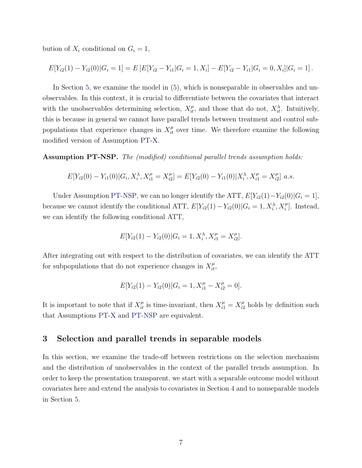bution of  $X_i$  conditional on  $G_i = 1$ ,

$$
E[Y_{i2}(1) - Y_{i2}(0)|G_i = 1] = E[E[Y_{i2} - Y_{i1}|G_i = 1, X_i] - E[Y_{i2} - Y_{i1}|G_i = 0, X_i]|G_i = 1].
$$

In Section [5,](#page-18-0) we examine the model in [\(5\)](#page-3-2), which is nonseparable in observables and unobservables. In this context, it is crucial to differentiate between the covariates that interact with the unobservables determining selection,  $X_{it}^{\mu}$ , and those that do not,  $X_{it}^{\lambda}$ . Intuitively, this is because in general we cannot have parallel trends between treatment and control subpopulations that experience changes in  $X_{it}^{\mu}$  over time. We therefore examine the following modified version of Assumption [PT-X.](#page-6-3)

<span id="page-7-1"></span>Assumption PT-NSP. The (modified) conditional parallel trends assumption holds:

$$
E[Y_{i2}(0) - Y_{i1}(0)|G_i, X_i^{\lambda}, X_{i1}^{\mu} = X_{i2}^{\mu}] = E[Y_{i2}(0) - Y_{i1}(0)|X_i^{\lambda}, X_{i1}^{\mu} = X_{i2}^{\mu}] a.s.
$$

Under Assumption [PT-NSP,](#page-7-1) we can no longer identify the ATT,  $E[Y_{i2}(1)-Y_{i2}(0)|G_i=1]$ , because we cannot identify the conditional ATT,  $E[Y_{i2}(1) - Y_{i2}(0)|G_i = 1, X_i^{\lambda}, X_i^{\mu}]$ . Instead, we can identify the following conditional ATT,

$$
E[Y_{i2}(1) - Y_{i2}(0)|G_i = 1, X_i^{\lambda}, X_{i1}^{\mu} = X_{i2}^{\mu}].
$$

After integrating out with respect to the distribution of covariates, we can identify the ATT for subpopulations that do not experience changes in  $X_{it}^{\mu}$ ,

$$
E[Y_{i2}(1) - Y_{i2}(0)|G_i = 1, X_{i1}^{\mu} - X_{i2}^{\mu} = 0].
$$

It is important to note that if  $X_{it}^{\mu}$  is time-invariant, then  $X_{i1}^{\mu} = X_{i2}^{\mu}$  holds by definition such that Assumptions [PT-X](#page-6-3) and [PT-NSP](#page-7-1) are equivalent.

# <span id="page-7-0"></span>3 Selection and parallel trends in separable models

In this section, we examine the trade-off between restrictions on the selection mechanism and the distribution of unobservables in the context of the parallel trends assumption. In order to keep the presentation transparent, we start with a separable outcome model without covariates here and extend the analysis to covariates in Section [4](#page-16-0) and to nonseparable models in Section [5.](#page-18-0)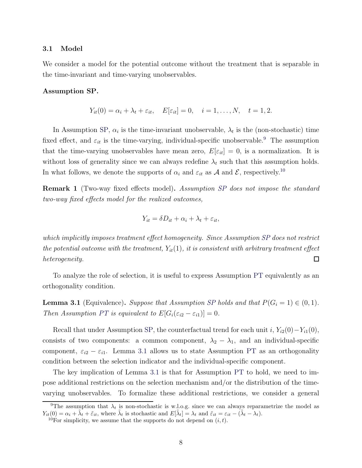# 3.1 Model

We consider a model for the potential outcome without the treatment that is separable in the time-invariant and time-varying unobservables.

### <span id="page-8-0"></span>Assumption SP.

$$
Y_{it}(0) = \alpha_i + \lambda_t + \varepsilon_{it}, \quad E[\varepsilon_{it}] = 0, \quad i = 1, \dots, N, \quad t = 1, 2.
$$

In Assumption [SP,](#page-8-0)  $\alpha_i$  is the time-invariant unobservable,  $\lambda_t$  is the (non-stochastic) time fixed effect, and  $\varepsilon_{it}$  is the time-varying, individual-specific unobservable.<sup>[9](#page-8-1)</sup> The assumption that the time-varying unobservables have mean zero,  $E[\varepsilon_{it}] = 0$ , is a normalization. It is without loss of generality since we can always redefine  $\lambda_t$  such that this assumption holds. In what follows, we denote the supports of  $\alpha_i$  and  $\varepsilon_{it}$  as A and E, respectively.<sup>[10](#page-8-2)</sup>

**Remark 1** (Two-way fixed effects model). Assumption [SP](#page-8-0) does not impose the standard two-way fixed effects model for the realized outcomes,

$$
Y_{it} = \delta D_{it} + \alpha_i + \lambda_t + \varepsilon_{it},
$$

which implicitly imposes treatment effect homogeneity. Since Assumption [SP](#page-8-0) does not restrict the potential outcome with the treatment,  $Y_{it}(1)$ , it is consistent with arbitrary treatment effect heterogeneity. □

To analyze the role of selection, it is useful to express Assumption [PT](#page-6-2) equivalently as an orthogonality condition.

<span id="page-8-3"></span>**Lemma 3.1** (Equivalence). Suppose that Assumption [SP](#page-8-0) holds and that  $P(G_i = 1) \in (0, 1)$ . Then Assumption [PT](#page-6-2) is equivalent to  $E[G_i(\varepsilon_{i2} - \varepsilon_{i1})] = 0$ .

Recall that under Assumption [SP,](#page-8-0) the counterfactual trend for each unit i,  $Y_{i2}(0)-Y_{i1}(0)$ , consists of two components: a common component,  $\lambda_2 - \lambda_1$ , and an individual-specific component,  $\varepsilon_{i2} - \varepsilon_{i1}$ . Lemma [3.1](#page-8-3) allows us to state Assumption [PT](#page-6-2) as an orthogonality condition between the selection indicator and the individual-specific component.

The key implication of Lemma [3.1](#page-8-3) is that for Assumption [PT](#page-6-2) to hold, we need to impose additional restrictions on the selection mechanism and/or the distribution of the timevarying unobservables. To formalize these additional restrictions, we consider a general

<sup>&</sup>lt;sup>9</sup>The assumption that  $\lambda_t$  is non-stochastic is w.l.o.g. since we can always reparametrize the model as  $Y_{it}(0) = \alpha_i + \tilde{\lambda}_t + \tilde{\varepsilon}_{it}$ , where  $\tilde{\lambda}_t$  is stochastic and  $E[\tilde{\lambda}_t] = \lambda_t$  and  $\tilde{\varepsilon}_{it} = \varepsilon_{it} - (\tilde{\lambda}_t - \lambda_t)$ .

<span id="page-8-2"></span><span id="page-8-1"></span><sup>&</sup>lt;sup>10</sup>For simplicity, we assume that the supports do not depend on  $(i, t)$ .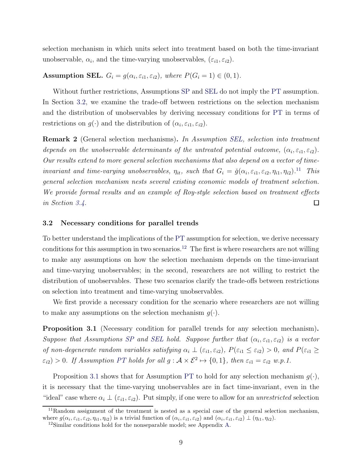selection mechanism in which units select into treatment based on both the time-invariant unobservable,  $\alpha_i$ , and the time-varying unobservables,  $(\varepsilon_{i1}, \varepsilon_{i2})$ .

# <span id="page-9-0"></span>**Assumption SEL.**  $G_i = g(\alpha_i, \varepsilon_{i1}, \varepsilon_{i2})$ , where  $P(G_i = 1) \in (0, 1)$ .

Without further restrictions, Assumptions [SP](#page-8-0) and [SEL](#page-9-0) do not imply the [PT](#page-6-2) assumption. In Section [3.2,](#page-9-1) we examine the trade-off between restrictions on the selection mechanism and the distribution of unobservables by deriving necessary conditions for [PT](#page-6-2) in terms of restrictions on  $g(\cdot)$  and the distribution of  $(\alpha_i, \varepsilon_{i1}, \varepsilon_{i2})$ .

Remark 2 (General selection mechanisms). In Assumption [SEL,](#page-9-0) selection into treatment depends on the unobservable determinants of the untreated potential outcome,  $(\alpha_i, \varepsilon_{i1}, \varepsilon_{i2})$ . Our results extend to more general selection mechanisms that also depend on a vector of timeinvariant and time-varying unobservables,  $\eta_{it}$ , such that  $G_i = \check{g}(\alpha_i, \varepsilon_{i1}, \varepsilon_{i2}, \eta_{i1}, \eta_{i2})$ .<sup>[11](#page-9-2)</sup> This general selection mechanism nests several existing economic models of treatment selection. We provide formal results and an example of Roy-style selection based on treatment effects in Section [3.4.](#page-13-0) П

### <span id="page-9-1"></span>3.2 Necessary conditions for parallel trends

To better understand the implications of the [PT](#page-6-2) assumption for selection, we derive necessary conditions for this assumption in two scenarios.<sup>[12](#page-9-3)</sup> The first is where researchers are not willing to make any assumptions on how the selection mechanism depends on the time-invariant and time-varying unobservables; in the second, researchers are not willing to restrict the distribution of unobservables. These two scenarios clarify the trade-offs between restrictions on selection into treatment and time-varying unobservables.

We first provide a necessary condition for the scenario where researchers are not willing to make any assumptions on the selection mechanism  $q(.)$ .

<span id="page-9-4"></span>**Proposition 3.1** (Necessary condition for parallel trends for any selection mechanism). Suppose that Assumptions [SP](#page-8-0) and [SEL](#page-9-0) hold. Suppose further that  $(\alpha_i, \varepsilon_{i1}, \varepsilon_{i2})$  is a vector of non-degenerate random variables satisfying  $\alpha_i \perp (\varepsilon_{i1}, \varepsilon_{i2})$ ,  $P(\varepsilon_{i1} \leq \varepsilon_{i2}) > 0$ , and  $P(\varepsilon_{i1} \geq$  $\varepsilon_{i2}$  > 0. If Assumption [PT](#page-6-2) holds for all  $g : \mathcal{A} \times \mathcal{E}^2 \mapsto \{0,1\}$ , then  $\varepsilon_{i1} = \varepsilon_{i2}$  w.p.1.

Proposition [3.1](#page-9-4) shows that for Assumption [PT](#page-6-2) to hold for any selection mechanism  $g(\cdot)$ , it is necessary that the time-varying unobservables are in fact time-invariant, even in the "ideal" case where  $\alpha_i \perp (\varepsilon_{i1}, \varepsilon_{i2})$ . Put simply, if one were to allow for an unrestricted selection

 $11$ Random assignment of the treatment is nested as a special case of the general selection mechanism, where  $g(\alpha_i, \varepsilon_{i1}, \varepsilon_{i2}, \eta_{i1}, \eta_{i2})$  is a trivial function of  $(\alpha_i, \varepsilon_{i1}, \varepsilon_{i2})$  and  $(\alpha_i, \varepsilon_{i1}, \varepsilon_{i2}) \perp (\eta_{i1}, \eta_{i2})$ .

<span id="page-9-3"></span><span id="page-9-2"></span> $12$ Similar conditions hold for the nonseparable model; see Appendix [A.](#page-30-0)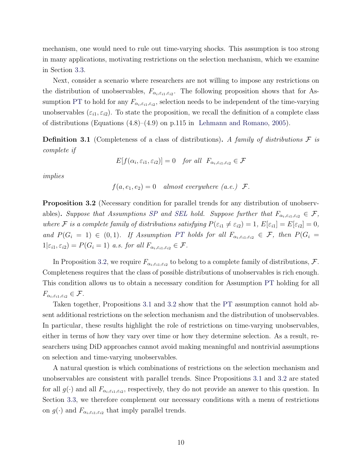mechanism, one would need to rule out time-varying shocks. This assumption is too strong in many applications, motivating restrictions on the selection mechanism, which we examine in Section [3.3.](#page-11-0)

Next, consider a scenario where researchers are not willing to impose any restrictions on the distribution of unobservables,  $F_{\alpha_i,\varepsilon_{i1},\varepsilon_{i2}}$ . The following proposition shows that for As-sumption [PT](#page-6-2) to hold for any  $F_{\alpha_i,\varepsilon_{i1},\varepsilon_{i2}}$ , selection needs to be independent of the time-varying unobservables  $(\varepsilon_{i1}, \varepsilon_{i2})$ . To state the proposition, we recall the definition of a complete class of distributions (Equations (4.8)–(4.9) on p.115 in [Lehmann and Romano](#page-28-15), [2005\)](#page-28-15).

**Definition 3.1** (Completeness of a class of distributions). A family of distributions  $\mathcal F$  is complete if

$$
E[f(\alpha_i, \varepsilon_{i1}, \varepsilon_{i2})] = 0 \quad \text{for all} \ \ F_{\alpha_i, \varepsilon_{i1}, \varepsilon_{i2}} \in \mathcal{F}
$$

implies

$$
f(a, e_1, e_2) = 0
$$
 almost everywhere  $(a.e.)$   $F$ .

<span id="page-10-0"></span>Proposition 3.2 (Necessary condition for parallel trends for any distribution of unobserv-ables). Suppose that Assumptions [SP](#page-8-0) and [SEL](#page-9-0) hold. Suppose further that  $F_{\alpha_i,\varepsilon_{i1},\varepsilon_{i2}} \in \mathcal{F}$ , where F is a complete family of distributions satisfying  $P(\varepsilon_{i1} \neq \varepsilon_{i2}) = 1$ ,  $E[\varepsilon_{i1}] = E[\varepsilon_{i2}] = 0$ , and  $P(G_i = 1) \in (0,1)$ . If Assumption [PT](#page-6-2) holds for all  $F_{\alpha_i, \varepsilon_{i1}, \varepsilon_{i2}} \in \mathcal{F}$ , then  $P(G_i = 1)$  $1|\varepsilon_{i1}, \varepsilon_{i2}| = P(G_i = 1)$  a.s. for all  $F_{\alpha_i, \varepsilon_{i1}, \varepsilon_{i2}} \in \mathcal{F}$ .

In Proposition [3.2,](#page-10-0) we require  $F_{\alpha_i,\varepsilon_{i1},\varepsilon_{i2}}$  to belong to a complete family of distributions,  $\mathcal{F}$ . Completeness requires that the class of possible distributions of unobservables is rich enough. This condition allows us to obtain a necessary condition for Assumption [PT](#page-6-2) holding for all  $F_{\alpha_i,\varepsilon_{i1},\varepsilon_{i2}} \in \mathcal{F}.$ 

Taken together, Propositions [3.1](#page-9-4) and [3.2](#page-10-0) show that the [PT](#page-6-2) assumption cannot hold absent additional restrictions on the selection mechanism and the distribution of unobservables. In particular, these results highlight the role of restrictions on time-varying unobservables, either in terms of how they vary over time or how they determine selection. As a result, researchers using DiD approaches cannot avoid making meaningful and nontrivial assumptions on selection and time-varying unobservables.

A natural question is which combinations of restrictions on the selection mechanism and unobservables are consistent with parallel trends. Since Propositions [3.1](#page-9-4) and [3.2](#page-10-0) are stated for all  $g(\cdot)$  and all  $F_{\alpha_i,\varepsilon_{i1},\varepsilon_{i2}}$ , respectively, they do not provide an answer to this question. In Section [3.3,](#page-11-0) we therefore complement our necessary conditions with a menu of restrictions on  $g(\cdot)$  and  $F_{\alpha_i,\varepsilon_{i1},\varepsilon_{i2}}$  that imply parallel trends.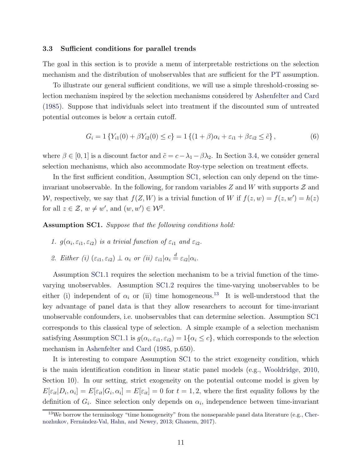# <span id="page-11-0"></span>3.3 Sufficient conditions for parallel trends

The goal in this section is to provide a menu of interpretable restrictions on the selection mechanism and the distribution of unobservables that are sufficient for the [PT](#page-6-2) assumption.

To illustrate our general sufficient conditions, we will use a simple threshold-crossing selection mechanism inspired by the selection mechanisms considered by [Ashenfelter and Card](#page-26-4) [\(1985](#page-26-4)). Suppose that individuals select into treatment if the discounted sum of untreated potential outcomes is below a certain cutoff.

<span id="page-11-5"></span>
$$
G_i = 1\left\{ Y_{i1}(0) + \beta Y_{i2}(0) \le c \right\} = 1\left\{ (1+\beta)\alpha_i + \varepsilon_{i1} + \beta \varepsilon_{i2} \le \tilde{c} \right\},\tag{6}
$$

where  $\beta \in [0, 1]$  is a discount factor and  $\tilde{c} = c - \lambda_1 - \beta \lambda_2$ . In Section [3.4,](#page-13-0) we consider general selection mechanisms, which also accommodate Roy-type selection on treatment effects.

In the first sufficient condition, Assumption [SC1,](#page-11-1) selection can only depend on the timeinvariant unobservable. In the following, for random variables  $Z$  and  $W$  with supports  $\mathcal Z$  and W, respectively, we say that  $f(Z, W)$  is a trivial function of W if  $f(z, w) = f(z, w') = h(z)$ for all  $z \in \mathcal{Z}$ ,  $w \neq w'$ , and  $(w, w') \in \mathcal{W}^2$ .

<span id="page-11-2"></span><span id="page-11-1"></span>Assumption SC1. Suppose that the following conditions hold:

- <span id="page-11-3"></span>1.  $g(\alpha_i, \varepsilon_{i1}, \varepsilon_{i2})$  is a trivial function of  $\varepsilon_{i1}$  and  $\varepsilon_{i2}$ .
- 2. Either (i)  $(\varepsilon_{i1}, \varepsilon_{i2}) \perp \alpha_i$  or (ii)  $\varepsilon_{i1} | \alpha_i \stackrel{d}{=} \varepsilon_{i2} | \alpha_i$ .

Assumption [SC1](#page-11-1)[.1](#page-11-2) requires the selection mechanism to be a trivial function of the timevarying unobservables. Assumption [SC1](#page-11-1)[.2](#page-11-3) requires the time-varying unobservables to be either (i) independent of  $\alpha_i$  or (ii) time homogeneous.<sup>[13](#page-11-4)</sup> It is well-understood that the key advantage of panel data is that they allow researchers to account for time-invariant unobservable confounders, i.e. unobservables that can determine selection. Assumption [SC1](#page-11-1) corresponds to this classical type of selection. A simple example of a selection mechanism satisfying Assumption [SC1](#page-11-1)[.1](#page-11-2) is  $g(\alpha_i, \varepsilon_{i1}, \varepsilon_{i2}) = 1\{\alpha_i \le c\}$ , which corresponds to the selection mechanism in [Ashenfelter and Card](#page-26-4) [\(1985,](#page-26-4) p.650).

It is interesting to compare Assumption [SC1](#page-11-1) to the strict exogeneity condition, which is the main identification condition in linear static panel models (e.g., [Wooldridge,](#page-29-4) [2010,](#page-29-4) Section 10). In our setting, strict exogeneity on the potential outcome model is given by  $E[\varepsilon_{it}|D_i,\alpha_i] = E[\varepsilon_{it}|G_i,\alpha_i] = E[\varepsilon_{it}] = 0$  for  $t = 1,2$ , where the first equality follows by the definition of  $G_i$ . Since selection only depends on  $\alpha_i$ , independence between time-invariant

<span id="page-11-4"></span> $13\,\text{We borrow the terminology "time homogeneity" from the nonseparable panel data literature (e.g., Cher 13\,\text{We borrow the terminology "time homogeneity" from the nonseparable panel data literature (e.g., Cher 13\,\text{We borrow the terminology "time homogeneity" from the nonseparable panel data literature (e.g., Cher-$ nozhukov, Fernández-Val, Hahn, and Newey, [2013;](#page-27-5) [Ghanem](#page-27-6), [2017](#page-27-6)).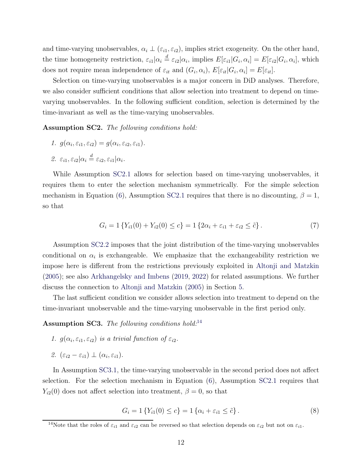and time-varying unobservables,  $\alpha_i \perp (\varepsilon_{i1}, \varepsilon_{i2})$ , implies strict exogeneity. On the other hand, the time homogeneity restriction,  $\varepsilon_{i1}|\alpha_i \stackrel{d}{=} \varepsilon_{i2}|\alpha_i$ , implies  $E[\varepsilon_{i1}|G_i,\alpha_i] = E[\varepsilon_{i2}|G_i,\alpha_i]$ , which does not require mean independence of  $\varepsilon_{it}$  and  $(G_i, \alpha_i)$ ,  $E[\varepsilon_{it}|G_i, \alpha_i] = E[\varepsilon_{it}]$ .

Selection on time-varying unobservables is a major concern in DiD analyses. Therefore, we also consider sufficient conditions that allow selection into treatment to depend on timevarying unobservables. In the following sufficient condition, selection is determined by the time-invariant as well as the time-varying unobservables.

<span id="page-12-1"></span><span id="page-12-0"></span>Assumption SC2. The following conditions hold:

- <span id="page-12-2"></span>1.  $g(\alpha_i, \varepsilon_{i1}, \varepsilon_{i2}) = g(\alpha_i, \varepsilon_{i2}, \varepsilon_{i1}).$
- 2.  $\varepsilon_{i1}, \varepsilon_{i2} | \alpha_i \stackrel{d}{=} \varepsilon_{i2}, \varepsilon_{i1} | \alpha_i.$

While Assumption [SC2](#page-12-0)[.1](#page-12-1) allows for selection based on time-varying unobservables, it requires them to enter the selection mechanism symmetrically. For the simple selection mechanism in Equation [\(6\)](#page-11-5), Assumption [SC2.](#page-12-0)[1](#page-12-1) requires that there is no discounting,  $\beta = 1$ , so that

$$
G_i = 1\left\{ Y_{i1}(0) + Y_{i2}(0) \le c \right\} = 1\left\{ 2\alpha_i + \varepsilon_{i1} + \varepsilon_{i2} \le \tilde{c} \right\}.
$$
 (7)

Assumption [SC2](#page-12-0)[.2](#page-12-2) imposes that the joint distribution of the time-varying unobservables conditional on  $\alpha_i$  is exchangeable. We emphasize that the exchangeability restriction we impose here is different from the restrictions previously exploited in [Altonji and Matzkin](#page-25-1) [\(2005](#page-25-1)); see also [Arkhangelsky and Imbens](#page-25-7) [\(2019](#page-25-7), [2022\)](#page-26-7) for related assumptions. We further discuss the connection to [Altonji and Matzkin](#page-25-1) [\(2005\)](#page-25-1) in Section [5.](#page-18-0)

The last sufficient condition we consider allows selection into treatment to depend on the time-invariant unobservable and the time-varying unobservable in the first period only.

<span id="page-12-5"></span><span id="page-12-4"></span>Assumption SC3. The following conditions hold:<sup>[14](#page-12-3)</sup>

- <span id="page-12-6"></span>1.  $g(\alpha_i, \varepsilon_{i1}, \varepsilon_{i2})$  is a trivial function of  $\varepsilon_{i2}$ .
- 2.  $(\varepsilon_{i2} \varepsilon_{i1}) \perp (\alpha_i, \varepsilon_{i1}).$

In Assumption [SC3.](#page-12-4)[1,](#page-12-5) the time-varying unobservable in the second period does not affect selection. For the selection mechanism in Equation [\(6\)](#page-11-5), Assumption [SC2](#page-12-0)[.1](#page-12-1) requires that  $Y_{i2}(0)$  does not affect selection into treatment,  $\beta = 0$ , so that

$$
G_i = 1\{Y_{i1}(0) \le c\} = 1\{\alpha_i + \varepsilon_{i1} \le \tilde{c}\}.
$$
\n(8)

<span id="page-12-3"></span><sup>&</sup>lt;sup>14</sup>Note that the roles of  $\varepsilon_{i1}$  and  $\varepsilon_{i2}$  can be reversed so that selection depends on  $\varepsilon_{i2}$  but not on  $\varepsilon_{i1}$ .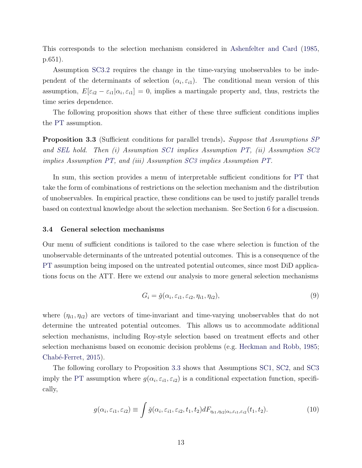This corresponds to the selection mechanism considered in [Ashenfelter and Card](#page-26-4) [\(1985,](#page-26-4) p.651).

Assumption [SC3.](#page-12-4)[2](#page-12-6) requires the change in the time-varying unobservables to be independent of the determinants of selection  $(\alpha_i, \varepsilon_{i1})$ . The conditional mean version of this assumption,  $E[\varepsilon_{i2} - \varepsilon_{i1} | \alpha_i, \varepsilon_{i1}] = 0$ , implies a martingale property and, thus, restricts the time series dependence.

The following proposition shows that either of these three sufficient conditions implies the [PT](#page-6-2) assumption.

<span id="page-13-1"></span>Proposition 3.3 (Sufficient conditions for parallel trends). Suppose that Assumptions [SP](#page-8-0) and [SEL](#page-9-0) hold. Then (i) Assumption [SC1](#page-11-1) implies Assumption [PT,](#page-6-2) (ii) Assumption [SC2](#page-12-0) implies Assumption [PT,](#page-6-2) and (iii) Assumption [SC3](#page-12-4) implies Assumption [PT.](#page-6-2)

In sum, this section provides a menu of interpretable sufficient conditions for [PT](#page-6-2) that take the form of combinations of restrictions on the selection mechanism and the distribution of unobservables. In empirical practice, these conditions can be used to justify parallel trends based on contextual knowledge about the selection mechanism. See Section [6](#page-24-0) for a discussion.

### <span id="page-13-0"></span>3.4 General selection mechanisms

Our menu of sufficient conditions is tailored to the case where selection is function of the unobservable determinants of the untreated potential outcomes. This is a consequence of the [PT](#page-6-2) assumption being imposed on the untreated potential outcomes, since most DiD applications focus on the ATT. Here we extend our analysis to more general selection mechanisms

<span id="page-13-2"></span>
$$
G_i = \check{g}(\alpha_i, \varepsilon_{i1}, \varepsilon_{i2}, \eta_{i1}, \eta_{i2}), \qquad (9)
$$

where  $(\eta_{i1}, \eta_{i2})$  are vectors of time-invariant and time-varying unobservables that do not determine the untreated potential outcomes. This allows us to accommodate additional selection mechanisms, including Roy-style selection based on treatment effects and other selection mechanisms based on economic decision problems (e.g. [Heckman and Robb](#page-28-2), [1985;](#page-28-2) Chabé-Ferret, [2015\)](#page-27-4).

The following corollary to Proposition [3.3](#page-13-1) shows that Assumptions [SC1,](#page-11-1) [SC2,](#page-12-0) and [SC3](#page-12-4) imply the [PT](#page-6-2) assumption where  $g(\alpha_i, \varepsilon_{i1}, \varepsilon_{i2})$  is a conditional expectation function, specifically,

$$
g(\alpha_i, \varepsilon_{i1}, \varepsilon_{i2}) \equiv \int \check{g}(\alpha_i, \varepsilon_{i1}, \varepsilon_{i2}, t_1, t_2) dF_{\eta_{i1}, \eta_{i2}|\alpha_i, \varepsilon_{i1}, \varepsilon_{i2}}(t_1, t_2).
$$
 (10)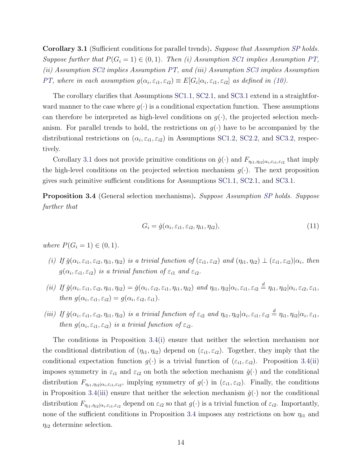<span id="page-14-0"></span>Corollary 3.1 (Sufficient conditions for parallel trends). Suppose that Assumption [SP](#page-8-0) holds. Suppose further that  $P(G_i = 1) \in (0, 1)$ . Then (i) Assumption [SC1](#page-11-1) implies Assumption [PT,](#page-6-2) (ii) Assumption [SC2](#page-12-0) implies Assumption [PT,](#page-6-2) and (iii) Assumption [SC3](#page-12-4) implies Assumption [PT,](#page-6-2) where in each assumption  $g(\alpha_i, \varepsilon_{i1}, \varepsilon_{i2}) \equiv E[G_i | \alpha_i, \varepsilon_{i1}, \varepsilon_{i2}]$  as defined in [\(10\)](#page-13-2).

The corollary clarifies that Assumptions [SC1](#page-11-1)[.1,](#page-11-2) [SC2.](#page-12-0)[1,](#page-12-1) and [SC3](#page-12-4)[.1](#page-12-5) extend in a straightforward manner to the case where  $g(\cdot)$  is a conditional expectation function. These assumptions can therefore be interpreted as high-level conditions on  $q(\cdot)$ , the projected selection mechanism. For parallel trends to hold, the restrictions on  $q(\cdot)$  have to be accompanied by the distributional restrictions on  $(\alpha_i, \varepsilon_{i1}, \varepsilon_{i2})$  in Assumptions [SC1](#page-11-1)[.2,](#page-11-3) [SC2.](#page-12-0)[2,](#page-12-6) and [SC3.](#page-12-4)2, respectively.

Corollary [3.1](#page-14-0) does not provide primitive conditions on  $\check{g}(\cdot)$  and  $F_{\eta_{i1},\eta_{i2}|\alpha_i,\varepsilon_{i1},\varepsilon_{i2}}$  that imply the high-level conditions on the projected selection mechanism  $g(\cdot)$ . The next proposition gives such primitive sufficient conditions for Assumptions [SC1.](#page-11-1)[1,](#page-11-2) [SC2](#page-12-0)[.1,](#page-12-1) and [SC3.](#page-12-4)[1.](#page-12-5)

<span id="page-14-1"></span>Proposition 3.4 (General selection mechanisms). Suppose Assumption [SP](#page-8-0) holds. Suppose further that

$$
G_i = \check{g}(\alpha_i, \varepsilon_{i1}, \varepsilon_{i2}, \eta_{i1}, \eta_{i2}), \qquad (11)
$$

<span id="page-14-2"></span>where  $P(G_i = 1) \in (0, 1)$ .

- <span id="page-14-3"></span>(i) If  $\check{g}(\alpha_i, \varepsilon_{i1}, \varepsilon_{i2}, \eta_{i1}, \eta_{i2})$  is a trivial function of  $(\varepsilon_{i1}, \varepsilon_{i2})$  and  $(\eta_{i1}, \eta_{i2}) \perp (\varepsilon_{i1}, \varepsilon_{i2}) | \alpha_i$ , then  $g(\alpha_i, \varepsilon_{i1}, \varepsilon_{i2})$  is a trivial function of  $\varepsilon_{i1}$  and  $\varepsilon_{i2}$ .
- (ii) If  $\check{g}(\alpha_i, \varepsilon_{i1}, \varepsilon_{i2}, \eta_{i1}, \eta_{i2}) = \check{g}(\alpha_i, \varepsilon_{i2}, \varepsilon_{i1}, \eta_{i1}, \eta_{i2})$  and  $\eta_{i1}, \eta_{i2} | \alpha_i, \varepsilon_{i1}, \varepsilon_{i2} \stackrel{d}{=} \eta_{i1}, \eta_{i2} | \alpha_i, \varepsilon_{i2}, \varepsilon_{i1},$ then  $g(\alpha_i, \varepsilon_{i1}, \varepsilon_{i2}) = g(\alpha_i, \varepsilon_{i2}, \varepsilon_{i1}).$
- <span id="page-14-4"></span>(iii) If  $\check{g}(\alpha_i, \varepsilon_{i1}, \varepsilon_{i2}, \eta_{i1}, \eta_{i2})$  is a trivial function of  $\varepsilon_{i2}$  and  $\eta_{i1}, \eta_{i2} | \alpha_i, \varepsilon_{i1}, \varepsilon_{i2} \stackrel{d}{=} \eta_{i1}, \eta_{i2} | \alpha_i, \varepsilon_{i1},$ then  $g(\alpha_i, \varepsilon_{i1}, \varepsilon_{i2})$  is a trivial function of  $\varepsilon_{i2}$ .

The conditions in Proposition [3.4\(](#page-14-1)[i\)](#page-14-2) ensure that neither the selection mechanism nor the conditional distribution of  $(\eta_{i1}, \eta_{i2})$  depend on  $(\varepsilon_{i1}, \varepsilon_{i2})$ . Together, they imply that the conditional expectation function  $g(\cdot)$  is a trivial function of  $(\varepsilon_{i1}, \varepsilon_{i2})$ . Proposition [3.4](#page-14-1)[\(ii\)](#page-14-3) imposes symmetry in  $\varepsilon_{i1}$  and  $\varepsilon_{i2}$  on both the selection mechanism  $\check{g}(\cdot)$  and the conditional distribution  $F_{\eta_{i1},\eta_{i2}|\alpha_i,\varepsilon_{i1},\varepsilon_{i2}}$ , implying symmetry of  $g(\cdot)$  in  $(\varepsilon_{i1},\varepsilon_{i2})$ . Finally, the conditions in Proposition [3.4](#page-14-1)[\(iii\)](#page-14-4) ensure that neither the selection mechanism  $\check{g}(\cdot)$  nor the conditional distribution  $F_{\eta_{i1},\eta_{i2}|\alpha_i,\varepsilon_{i1},\varepsilon_{i2}}$  depend on  $\varepsilon_{i2}$  so that  $g(\cdot)$  is a trivial function of  $\varepsilon_{i2}$ . Importantly, none of the sufficient conditions in Proposition [3.4](#page-14-1) imposes any restrictions on how  $\eta_{i1}$  and  $\eta_{i2}$  determine selection.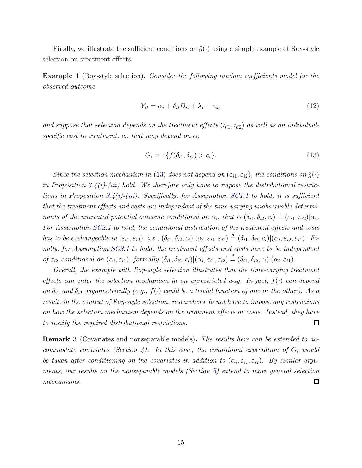Finally, we illustrate the sufficient conditions on  $\check{g}(\cdot)$  using a simple example of Roy-style selection on treatment effects.

Example 1 (Roy-style selection). Consider the following random coefficients model for the observed outcome

$$
Y_{it} = \alpha_i + \delta_{it} D_{it} + \lambda_t + \epsilon_{it},\tag{12}
$$

and suppose that selection depends on the treatment effects  $(\eta_{i1}, \eta_{i2})$  as well as an individualspecific cost to treatment,  $c_i$ , that may depend on  $\alpha_i$ 

<span id="page-15-0"></span>
$$
G_i = 1\{f(\delta_{i1}, \delta_{i2}) > c_i\}.
$$
\n(13)

Since the selection mechanism in [\(13\)](#page-15-0) does not depend on  $(\varepsilon_{i1}, \varepsilon_{i2})$ , the conditions on  $\check{g}(\cdot)$ in Proposition [3.4](#page-14-1)[\(i\)](#page-14-2)-[\(iii\)](#page-14-4) hold. We therefore only have to impose the distributional restric-tions in Proposition [3.4](#page-14-1)[\(i\)](#page-14-2)-[\(iii\)](#page-14-4). Specifically, for Assumption [SC1](#page-11-1)[.1](#page-11-2) to hold, it is sufficient that the treatment effects and costs are independent of the time-varying unobservable determinants of the untreated potential outcome conditional on  $\alpha_i$ , that is  $(\delta_{i1}, \delta_{i2}, c_i) \perp (\varepsilon_{i1}, \varepsilon_{i2}) | \alpha_i$ . For Assumption [SC2.](#page-12-0)[1](#page-12-1) to hold, the conditional distribution of the treatment effects and costs has to be exchangeable in  $(\varepsilon_{i1}, \varepsilon_{i2}), i.e., (\delta_{i1}, \delta_{i2}, c_i)|(\alpha_i, \varepsilon_{i1}, \varepsilon_{i2}) \stackrel{d}{=} (\delta_{i1}, \delta_{i2}, c_i)|(\alpha_i, \varepsilon_{i2}, \varepsilon_{i1}).$  Finally, for Assumption [SC3.](#page-12-4)[1](#page-12-5) to hold, the treatment effects and costs have to be independent of  $\varepsilon_{i2}$  conditional on  $(\alpha_i, \varepsilon_{i1})$ , formally  $(\delta_{i1}, \delta_{i2}, c_i)|(\alpha_i, \varepsilon_{i1}, \varepsilon_{i2}) \stackrel{d}{=} (\delta_{i1}, \delta_{i2}, c_i)|(\alpha_i, \varepsilon_{i1})$ .

Overall, the example with Roy-style selection illustrates that the time-varying treatment effects can enter the selection mechanism in an unrestricted way. In fact,  $f(\cdot)$  can depend on  $\delta_{i1}$  and  $\delta_{i2}$  asymmetrically (e.g.,  $f(\cdot)$  could be a trivial function of one or the other). As a result, in the context of Roy-style selection, researchers do not have to impose any restrictions on how the selection mechanism depends on the treatment effects or costs. Instead, they have to justify the required distributional restrictions.  $\Box$ 

**Remark 3** (Covariates and nonseparable models). The results here can be extended to ac-commodate covariates (Section [4\)](#page-16-0). In this case, the conditional expectation of  $G_i$  would be taken after conditioning on the covariates in addition to  $(\alpha_i, \varepsilon_{i1}, \varepsilon_{i2})$ . By similar arguments, our results on the nonseparable models (Section [5\)](#page-18-0) extend to more general selection mechanisms. □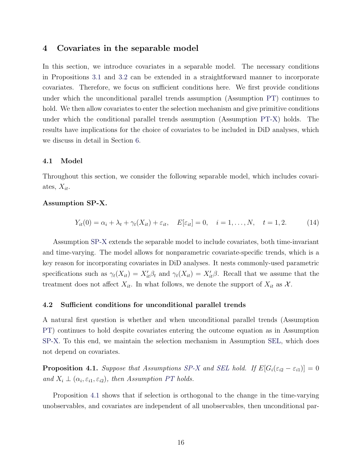# <span id="page-16-0"></span>4 Covariates in the separable model

In this section, we introduce covariates in a separable model. The necessary conditions in Propositions [3.1](#page-9-4) and [3.2](#page-10-0) can be extended in a straightforward manner to incorporate covariates. Therefore, we focus on sufficient conditions here. We first provide conditions under which the unconditional parallel trends assumption (Assumption [PT\)](#page-6-2) continues to hold. We then allow covariates to enter the selection mechanism and give primitive conditions under which the conditional parallel trends assumption (Assumption [PT-X\)](#page-6-3) holds. The results have implications for the choice of covariates to be included in DiD analyses, which we discuss in detail in Section [6.](#page-24-0)

# 4.1 Model

Throughout this section, we consider the following separable model, which includes covariates,  $X_{it}$ .

# <span id="page-16-1"></span>Assumption SP-X.

$$
Y_{it}(0) = \alpha_i + \lambda_t + \gamma_t(X_{it}) + \varepsilon_{it}, \quad E[\varepsilon_{it}] = 0, \quad i = 1, ..., N, \quad t = 1, 2. \tag{14}
$$

Assumption [SP-X](#page-16-1) extends the separable model to include covariates, both time-invariant and time-varying. The model allows for nonparametric covariate-specific trends, which is a key reason for incorporating covariates in DiD analyses. It nests commonly-used parametric specifications such as  $\gamma_t(X_{it}) = X'_{it}\beta_t$  and  $\gamma_t(X_{it}) = X'_{it}\beta$ . Recall that we assume that the treatment does not affect  $X_{it}$ . In what follows, we denote the support of  $X_{it}$  as  $\mathcal{X}$ .

### 4.2 Sufficient conditions for unconditional parallel trends

A natural first question is whether and when unconditional parallel trends (Assumption [PT\)](#page-6-2) continues to hold despite covariates entering the outcome equation as in Assumption [SP-X.](#page-16-1) To this end, we maintain the selection mechanism in Assumption [SEL,](#page-9-0) which does not depend on covariates.

<span id="page-16-2"></span>**Proposition 4.1.** Suppose that Assumptions [SP-X](#page-16-1) and [SEL](#page-9-0) hold. If  $E[G_i(\varepsilon_{i2} - \varepsilon_{i1})] = 0$ and  $X_i \perp (\alpha_i, \varepsilon_{i1}, \varepsilon_{i2})$ , then Assumption [PT](#page-6-2) holds.

Proposition [4.1](#page-16-2) shows that if selection is orthogonal to the change in the time-varying unobservables, and covariates are independent of all unobservables, then unconditional par-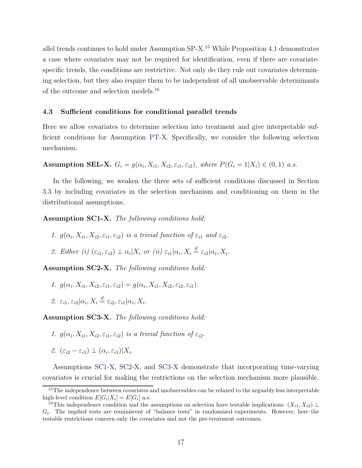allel trends continues to hold under Assumption [SP-X.](#page-16-1) [15](#page-17-0) While Proposition [4.1](#page-16-2) demonstrates a case where covariates may not be required for identification, even if there are covariatespecific trends, the conditions are restrictive. Not only do they rule out covariates determining selection, but they also require them to be independent of all unobservable determinants of the outcome and selection models.[16](#page-17-1)

# 4.3 Sufficient conditions for conditional parallel trends

Here we allow covariates to determine selection into treatment and give interpretable sufficient conditions for Assumption [PT-X.](#page-6-3) Specifically, we consider the following selection mechanism.

<span id="page-17-8"></span>**Assumption SEL-X.**  $G_i = g(\alpha_i, X_{i1}, X_{i2}, \varepsilon_{i1}, \varepsilon_{i2})$ , where  $P(G_i = 1 | X_i) \in (0, 1)$  a.s.

In the following, we weaken the three sets of sufficient conditions discussed in Section [3.3](#page-11-0) by including covariates in the selection mechanism and conditioning on them in the distributional assumptions.

<span id="page-17-5"></span><span id="page-17-2"></span>Assumption SC1-X. The following conditions hold:

- <span id="page-17-7"></span>1.  $g(\alpha_i, X_{i1}, X_{i2}, \varepsilon_{i1}, \varepsilon_{i2})$  is a trivial function of  $\varepsilon_{i1}$  and  $\varepsilon_{i2}$ .
- 2. Either (i)  $(\varepsilon_{i1}, \varepsilon_{i2}) \perp \alpha_i | X_i$  or (ii)  $\varepsilon_{i1} | \alpha_i, X_i \stackrel{d}{=} \varepsilon_{i2} | \alpha_i, X_i$ .

<span id="page-17-6"></span><span id="page-17-3"></span>Assumption SC2-X. The following conditions hold:

- 1.  $g(\alpha_i, X_{i1}, X_{i2}, \varepsilon_{i1}, \varepsilon_{i2}) = g(\alpha_i, X_{i1}, X_{i2}, \varepsilon_{i2}, \varepsilon_{i1}).$
- 2.  $\varepsilon_{i1}, \varepsilon_{i2} | \alpha_i, X_i \stackrel{d}{=} \varepsilon_{i2}, \varepsilon_{i1} | \alpha_i, X_i.$

<span id="page-17-4"></span>Assumption SC3-X. The following conditions hold:

- 1.  $g(\alpha_i, X_{i1}, X_{i2}, \varepsilon_{i1}, \varepsilon_{i2})$  is a trivial function of  $\varepsilon_{i2}$ .
- 2.  $(\varepsilon_{i2} \varepsilon_{i1}) \perp (\alpha_i, \varepsilon_{i1}) | X_i$ .

Assumptions [SC1-X,](#page-17-2) [SC2-X,](#page-17-3) and [SC3-X](#page-17-4) demonstrate that incorporating time-varying covariates is crucial for making the restrictions on the selection mechanism more plausible.

<span id="page-17-0"></span><sup>&</sup>lt;sup>15</sup>The independence between covariates and unobservables can be relaxed to the arguably less interpretable high-level condition  $E[G_i|X_i] = E[G_i]$  a.s.

<span id="page-17-1"></span><sup>&</sup>lt;sup>16</sup>This independence condition and the assumptions on selection have testable implications:  $(X_{i1}, X_{i2}) \perp$  $G_i$ . The implied tests are reminiscent of "balance tests" in randomized experiments. However, here the testable restrictions concern only the covariates and not the pre-treatment outcomes.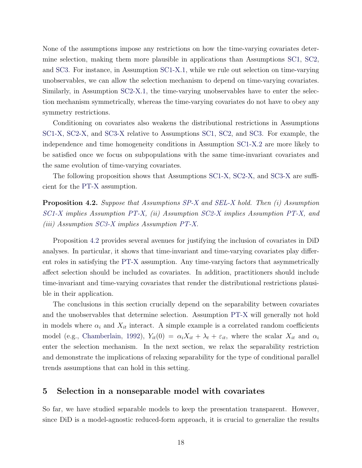None of the assumptions impose any restrictions on how the time-varying covariates determine selection, making them more plausible in applications than Assumptions [SC1,](#page-11-1) [SC2,](#page-12-0) and [SC3.](#page-12-4) For instance, in Assumption [SC1-X.](#page-17-2)[1,](#page-17-5) while we rule out selection on time-varying unobservables, we can allow the selection mechanism to depend on time-varying covariates. Similarly, in Assumption [SC2-X.](#page-17-3)[1,](#page-17-6) the time-varying unobservables have to enter the selection mechanism symmetrically, whereas the time-varying covariates do not have to obey any symmetry restrictions.

Conditioning on covariates also weakens the distributional restrictions in Assumptions [SC1-X,](#page-17-2) [SC2-X,](#page-17-3) and [SC3-X](#page-17-4) relative to Assumptions [SC1,](#page-11-1) [SC2,](#page-12-0) and [SC3.](#page-12-4) For example, the independence and time homogeneity conditions in Assumption [SC1-X.](#page-17-2)[2](#page-17-7) are more likely to be satisfied once we focus on subpopulations with the same time-invariant covariates and the same evolution of time-varying covariates.

The following proposition shows that Assumptions [SC1-X,](#page-17-2) [SC2-X,](#page-17-3) and [SC3-X](#page-17-4) are sufficient for the [PT-X](#page-6-3) assumption.

<span id="page-18-1"></span>Proposition 4.2. Suppose that Assumptions [SP-X](#page-16-1) and [SEL-X](#page-17-8) hold. Then (i) Assumption [SC1-X](#page-17-2) implies Assumption [PT-X,](#page-6-3) (ii) Assumption [SC2-X](#page-17-3) implies Assumption [PT-X,](#page-6-3) and (iii) Assumption [SC3-X](#page-17-4) implies Assumption [PT-X.](#page-6-3)

Proposition [4.2](#page-18-1) provides several avenues for justifying the inclusion of covariates in DiD analyses. In particular, it shows that time-invariant and time-varying covariates play different roles in satisfying the [PT-X](#page-6-3) assumption. Any time-varying factors that asymmetrically affect selection should be included as covariates. In addition, practitioners should include time-invariant and time-varying covariates that render the distributional restrictions plausible in their application.

The conclusions in this section crucially depend on the separability between covariates and the unobservables that determine selection. Assumption [PT-X](#page-6-3) will generally not hold in models where  $\alpha_i$  and  $X_{it}$  interact. A simple example is a correlated random coefficients model (e.g., [Chamberlain,](#page-27-9) [1992](#page-27-9)),  $Y_{it}(0) = \alpha_i X_{it} + \lambda_t + \varepsilon_{it}$ , where the scalar  $X_{it}$  and  $\alpha_i$ enter the selection mechanism. In the next section, we relax the separability restriction and demonstrate the implications of relaxing separability for the type of conditional parallel trends assumptions that can hold in this setting.

# <span id="page-18-0"></span>5 Selection in a nonseparable model with covariates

So far, we have studied separable models to keep the presentation transparent. However, since DiD is a model-agnostic reduced-form approach, it is crucial to generalize the results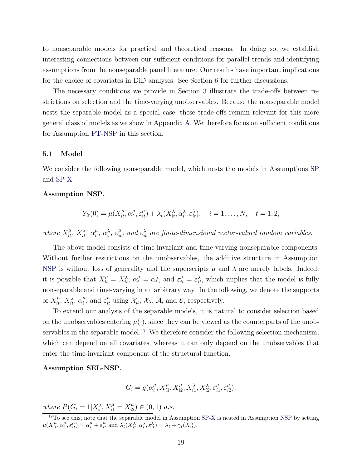to nonseparable models for practical and theoretical reasons. In doing so, we establish interesting connections between our sufficient conditions for parallel trends and identifying assumptions from the nonseparable panel literature. Our results have important implications for the choice of covariates in DiD analyses. See Section [6](#page-24-0) for further discussions.

The necessary conditions we provide in Section [3](#page-7-0) illustrate the trade-offs between restrictions on selection and the time-varying unobservables. Because the nonseparable model nests the separable model as a special case, these trade-offs remain relevant for this more general class of models as we show in Appendix [A.](#page-30-0) We therefore focus on sufficient conditions for Assumption [PT-NSP](#page-7-1) in this section.

### 5.1 Model

We consider the following nonseparable model, which nests the models in Assumptions [SP](#page-8-0) and [SP-X.](#page-16-1)

# <span id="page-19-0"></span>Assumption NSP.

$$
Y_{it}(0) = \mu(X_{it}^{\mu}, \alpha_i^{\mu}, \varepsilon_{it}^{\mu}) + \lambda_t(X_{it}^{\lambda}, \alpha_i^{\lambda}, \varepsilon_{it}^{\lambda}), \quad i = 1, ..., N, \quad t = 1, 2,
$$

where  $X_{it}^{\mu}$ ,  $X_{it}^{\lambda}$ ,  $\alpha_i^{\mu}$  $\hat{u}_i^{\mu}, \alpha_i^{\lambda}, \varepsilon_{it}^{\mu},$  and  $\varepsilon_{it}^{\lambda}$  are finite-dimensional vector-valued random variables.

The above model consists of time-invariant and time-varying nonseparable components. Without further restrictions on the unobservables, the additive structure in Assumption [NSP](#page-19-0) is without loss of generality and the superscripts  $\mu$  and  $\lambda$  are merely labels. Indeed, it is possible that  $X_{it}^{\mu} = X_{it}^{\lambda}, \ \alpha_i^{\mu} = \alpha_i^{\lambda}, \$ and  $\varepsilon_{it}^{\mu} = \varepsilon_{it}^{\lambda}$ , which implies that the model is fully nonseparable and time-varying in an arbitrary way. In the following, we denote the supports of  $X_{it}^{\mu}$ ,  $X_{it}^{\lambda}$ ,  $\alpha_i^{\mu}$  $i_t^{\mu}$ , and  $\varepsilon_{it}^{\mu}$  using  $\mathcal{X}_{\mu}$ ,  $\mathcal{X}_{\lambda}$ ,  $\mathcal{A}$ , and  $\mathcal{E}$ , respectively.

To extend our analysis of the separable models, it is natural to consider selection based on the unobservables entering  $\mu(\cdot)$ , since they can be viewed as the counterparts of the unob-servables in the separable model.<sup>[17](#page-19-1)</sup> We therefore consider the following selection mechanism, which can depend on all covariates, whereas it can only depend on the unobservables that enter the time-invariant component of the structural function.

# <span id="page-19-2"></span>Assumption SEL-NSP.

$$
G_i = g(\alpha_i^{\mu}, X_{i1}^{\mu}, X_{i2}^{\mu}, X_{i1}^{\lambda}, X_{i2}^{\lambda}, \varepsilon_{i1}^{\mu}, \varepsilon_{i2}^{\mu}),
$$

where  $P(G_i = 1 | X_i^{\lambda}, X_{i1}^{\mu} = X_{i2}^{\mu})$  $\binom{\mu}{i2} \in (0,1)$  a.s.

<span id="page-19-1"></span><sup>&</sup>lt;sup>17</sup>To see this, note that the separable model in Assumption [SP-X](#page-16-1) is nested in Assumption [NSP](#page-19-0) by setting  $\mu(X_{it}^{\mu}, \alpha_{i}^{\mu}, \varepsilon_{it}^{\mu}) = \alpha_{i}^{\mu} + \varepsilon_{it}^{\mu}$  and  $\lambda_{t}(X_{it}^{\lambda}, \alpha_{i}^{\lambda}, \varepsilon_{it}^{\lambda}) = \lambda_{t} + \gamma_{t}(X_{it}^{\lambda}).$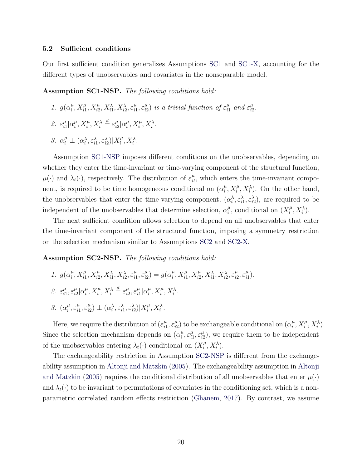### 5.2 Sufficient conditions

Our first sufficient condition generalizes Assumptions [SC1](#page-11-1) and [SC1-X,](#page-17-2) accounting for the different types of unobservables and covariates in the nonseparable model.

<span id="page-20-2"></span><span id="page-20-0"></span>Assumption SC1-NSP. The following conditions hold:

- <span id="page-20-4"></span>1.  $g(\alpha_i^{\mu})$  $_{i}^{\mu}, X_{i1}^{\mu}, X_{i2}^{\mu}, X_{i1}^{\lambda}, X_{i2}^{\lambda}, \varepsilon_{i1}^{\mu}$  $\frac{\mu}{i1}, \varepsilon_{i2}^{\mu}$  $\binom{\mu}{i2}$  is a trivial function of  $\varepsilon_{i1}^{\mu}$  $\frac{\mu}{i1}$  and  $\varepsilon_{i2}^{\mu}$  $\frac{\mu}{i2}$ .
- <span id="page-20-3"></span>2.  $\varepsilon_{i}^{\mu}$  $\frac{\mu}{i1}$   $\alpha_i^{\mu}$  $_{i}^{\mu},X_{i}^{\mu},X_{i}^{\lambda}\stackrel{d}{=}\varepsilon _{i\scriptscriptstyle 2}^{\mu}$  $\frac{\mu}{i2}$ | $\alpha_i^{\mu}$  $_i^{\mu}, X_i^{\mu}, X_i^{\lambda}.$
- 3.  $\alpha_i^{\mu} \perp (\alpha_i^{\lambda}, \varepsilon_{i1}^{\lambda}, \varepsilon_{i2}^{\lambda}) | X_i^{\mu}$  $i^{\mu}, X_i^{\lambda}.$

Assumption [SC1-NSP](#page-20-0) imposes different conditions on the unobservables, depending on whether they enter the time-invariant or time-varying component of the structural function,  $\mu(\cdot)$  and  $\lambda_t(\cdot)$ , respectively. The distribution of  $\varepsilon_{it}^{\mu}$ , which enters the time-invariant component, is required to be time homogeneous conditional on  $(\alpha_i^{\mu})$  $i<sup>\mu</sup>, X<sub>i</sub><sup>\mu</sup>, X<sub>i</sub><sup>\lambda</sup>$ . On the other hand, the unobservables that enter the time-varying component,  $(\alpha_i^{\lambda}, \varepsilon_{i1}^{\lambda}, \varepsilon_{i2}^{\lambda})$ , are required to be independent of the unobservables that determine selection,  $\alpha_i^{\mu}$  $\mu_i^{\mu}$ , conditional on  $(X_i^{\mu})$  $i^{\mu}, X_i^{\lambda}).$ 

The next sufficient condition allows selection to depend on all unobservables that enter the time-invariant component of the structural function, imposing a symmetry restriction on the selection mechanism similar to Assumptions [SC2](#page-12-0) and [SC2-X.](#page-17-3)

<span id="page-20-5"></span><span id="page-20-1"></span>Assumption SC2-NSP. The following conditions hold:

- <span id="page-20-6"></span>1.  $g(\alpha_i^{\mu})$  $_{i}^{\mu}, X_{i1}^{\mu}, X_{i2}^{\mu}, X_{i1}^{\lambda}, X_{i2}^{\lambda}, \varepsilon_{i1}^{\mu}$  $_{i1}^{\mu},\varepsilon_{i2}^{\mu}$  $\binom{\mu}{i2} = g(\alpha_i^{\mu})$  $_{i}^{\mu}, X_{i1}^{\mu}, X_{i2}^{\mu}, X_{i1}^{\lambda}, X_{i2}^{\lambda}, \varepsilon_{i2}^{\mu}$  $\frac{\mu}{i2}$ ,  $\varepsilon_{i1}^{\mu}$  $_{i1}^{\mu}$ ). 2.  $\varepsilon_{i1}^{\mu}$  $\frac{\mu}{i1}, \varepsilon_{i2}^{\mu}$  $\frac{\mu}{i2}$ | $\alpha_i^{\mu}$  $_{i}^{\mu},X_{i}^{\mu},X_{i}^{\lambda}\stackrel{d}{=}\varepsilon _{i2}^{\mu}$  $\mu_{i2}^{\mu}, \varepsilon_{i1}^{\mu}$  $\frac{\mu}{i1}$   $\alpha_i^{\mu}$  $_i^{\mu}, X_i^{\mu}, X_i^{\lambda}.$
- <span id="page-20-7"></span>3.  $(\alpha_i^{\mu}$  $i^{\mu}, \varepsilon_{i1}^{\mu}$  $\frac{\mu}{i1}, \varepsilon_{i2}^{\mu}$  $\sum_{i=1}^{\mu} \mathcal{L}(\alpha_i^{\lambda}, \varepsilon_{i1}^{\lambda}, \varepsilon_{i2}^{\lambda}) | X_i^{\mu}$  $i^{\mu}, X_i^{\lambda}.$

Here, we require the distribution of  $(\varepsilon_i^{\mu})$  $_{i1}^{\mu},\varepsilon_{i2}^{\mu}$  $\binom{\mu}{i2}$  to be exchangeable conditional on  $(\alpha_i^{\mu})$  $_i^{\mu}, X_i^{\mu}, X_i^{\lambda}).$ Since the selection mechanism depends on  $(\alpha_i^{\mu})$  $i^{\mu}, \varepsilon_{i}^{\mu}$  $_{i1}^{\mu},\varepsilon_{i2}^{\mu}$  $\binom{\mu}{i2}$ , we require them to be independent of the unobservables entering  $\lambda_t(\cdot)$  conditional on  $(X_i^{\mu})$  $i^{\mu}, X_i^{\lambda}).$ 

The exchangeability restriction in Assumption [SC2-NSP](#page-20-1) is different from the exchangeability assumption in [Altonji and Matzkin](#page-25-1) [\(2005\). The exchangeability assumption in](#page-25-1) Altonji and Matzkin [\(2005](#page-25-1)) requires the conditional distribution of all unobservables that enter  $\mu(\cdot)$ and  $\lambda_t(\cdot)$  to be invariant to permutations of covariates in the conditioning set, which is a nonparametric correlated random effects restriction [\(Ghanem](#page-27-6), [2017](#page-27-6)). By contrast, we assume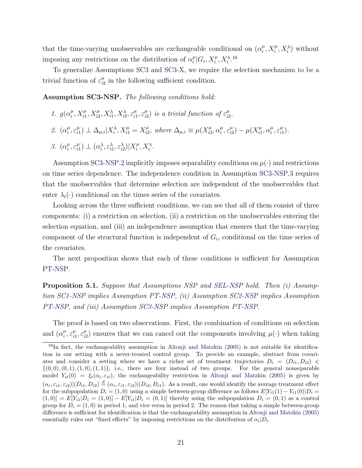that the time-varying unobservables are exchangeable conditional on  $(\alpha_i^{\mu})$  $_{i}^{\mu}, X_{i}^{\mu}, X_{i}^{\lambda}$  without imposing any restrictions on the distribution of  $\alpha_i^{\mu}$  $_i^{\mu}|G_i, X_i^{\mu}, X_i^{\lambda}$ .<sup>[18](#page-21-0)</sup>

To generalize Assumptions [SC3](#page-12-4) and [SC3-X,](#page-17-4) we require the selection mechanism to be a trivial function of  $\varepsilon_{i2}^{\mu}$  $\frac{\mu}{i2}$  in the following sufficient condition.

<span id="page-21-5"></span><span id="page-21-1"></span>Assumption SC3-NSP. The following conditions hold:

- <span id="page-21-2"></span>1.  $g(\alpha_i^{\mu})$  $_{i}^{\mu}, X_{i1}^{\mu}, X_{i2}^{\mu}, X_{i1}^{\lambda}, X_{i2}^{\lambda}, \varepsilon_{i1}^{\mu}$  $_{i1}^{\mu},\varepsilon_{i2}^{\mu}$  $\binom{\mu}{i2}$  is a trivial function of  $\varepsilon_{i2}^{\mu}$  $\frac{\mu}{i2}$ .
- <span id="page-21-3"></span>2.  $(\alpha_i^{\mu}$  $i^{\mu}, \varepsilon_{i1}^{\mu}$  $\sum_{i=1}^{\mu}$   $\perp \Delta_{\mu,i} | X_i^{\lambda}, X_{i1}^{\mu} = X_{i2}^{\mu}$  $\mu_{i2}^{\mu}$ , where  $\Delta_{\mu,i} \equiv \mu(X_{i2}^{\mu})$  $\mu_{i2}^{\mu}, \alpha_i^{\mu}$  $i^{\mu}, \varepsilon_{i2}^{\mu}$  $\mu_{i2}^{\mu}$ ) –  $\mu(X_{i1}^{\mu})$  $\mu_{i1}^{\mu}, \alpha_i^{\mu}$  $i^{\mu}, \varepsilon_{i1}^{\mu}$  $_{i1}^{\mu}$ ).
- 3.  $(\alpha_i^{\mu}$  $i^{\mu}, \varepsilon_{i1}^{\mu}$  $\sum_{i=1}^{\mu}$ )  $\perp (\alpha_i^{\lambda}, \varepsilon_{i1}^{\lambda}, \varepsilon_{i2}^{\lambda}) | X_i^{\mu}$  $i^{\mu}, X_i^{\lambda}.$

Assumption [SC3-NSP](#page-21-1)[.2](#page-21-2) implicitly imposes separability conditions on  $\mu(\cdot)$  and restrictions on time series dependence. The independence condition in Assumption [SC3-NSP](#page-21-1)[.3](#page-21-3) requires that the unobservables that determine selection are independent of the unobservables that enter  $\lambda_t(\cdot)$  conditional on the times series of the covariates.

Looking across the three sufficient conditions, we can see that all of them consist of three components: (i) a restriction on selection, (ii) a restriction on the unobservables entering the selection equation, and (iii) an independence assumption that ensures that the time-varying component of the structural function is independent of  $G_i$ , conditional on the time series of the covariates.

The next proposition shows that each of these conditions is sufficient for Assumption [PT-NSP.](#page-7-1)

<span id="page-21-4"></span>Proposition 5.1. Suppose that Assumptions [NSP](#page-19-0) and [SEL-NSP](#page-19-2) hold. Then (i) Assumption [SC1-NSP](#page-20-0) implies Assumption [PT-NSP,](#page-7-1) (ii) Assumption [SC2-NSP](#page-20-1) implies Assumption [PT-NSP,](#page-7-1) and (iii) Assumption [SC3-NSP](#page-21-1) implies Assumption [PT-NSP.](#page-7-1)

The proof is based on two observations. First, the combination of conditions on selection and  $(\alpha_i^{\mu}$  $i^{\mu}, \varepsilon_{i1}^{\mu}$  $\frac{\mu}{i1}, \varepsilon^{\mu}_{i2}$  $\mu_{i2}^{\mu}$  ensures that we can cancel out the components involving  $\mu(\cdot)$  when taking

<span id="page-21-0"></span><sup>&</sup>lt;sup>18</sup>In fact, the exchangeability assumption in [Altonji and Matzkin](#page-25-1) [\(2005](#page-25-1)) is not suitable for identification in our setting with a never-treated control group. To provide an example, abstract from covariates and consider a setting where we have a richer set of treatment trajectories  $D_i = (D_{i1}, D_{i2}) \in$  $\{(0,0), (0,1), (1,0), (1,1)\},$  i.e., there are four instead of two groups. For the general nonseparable model  $Y_{it}(0) = \xi_t(\alpha_i, \varepsilon_{it})$ , the exchangeability restriction in [Altonji and Matzkin](#page-25-1) [\(2005](#page-25-1)) is given by  $(\alpha_i, \varepsilon_{i1}, \varepsilon_{i2}) | (D_{i1}, D_{i2}) \stackrel{d}{=} (\alpha_i, \varepsilon_{i1}, \varepsilon_{i2}) | (D_{i2}, D_{i1})$ . As a result, one would identify the average treatment effect for the subpopulation  $D_i = (1,0)$  using a simple between-group difference as follows  $E[Y_{i1}(1) - Y_{i1}(0)|D_i =$  $(1, 0)$ ] =  $E[Y_{i1}|D_i = (1, 0)] - E[Y_{i1}|D_i = (0, 1)]$  thereby using the subpopulation  $D_i = (0, 1)$  as a control group for  $D_i = (1, 0)$  in period 1, and vice versa in period 2. The reason that taking a simple between-group difference is sufficient for identification is that the exchangeability assumption in [Altonji and Matzkin](#page-25-1) [\(2005](#page-25-1)) essentially rules out "fixed effects" by imposing restrictions on the distribution of  $\alpha_i|D_i$ .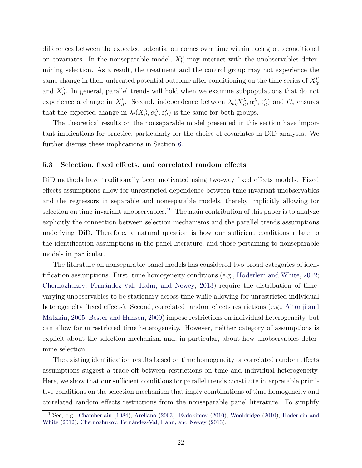differences between the expected potential outcomes over time within each group conditional on covariates. In the nonseparable model,  $X_{it}^{\mu}$  may interact with the unobservables determining selection. As a result, the treatment and the control group may not experience the same change in their untreated potential outcome after conditioning on the time series of  $X_{it}^{\mu}$ it and  $X_{it}^{\lambda}$ . In general, parallel trends will hold when we examine subpopulations that do not experience a change in  $X_{it}^{\mu}$ . Second, independence between  $\lambda_t(X_{it}^{\lambda}, \alpha_i^{\lambda}, \varepsilon_{it}^{\lambda})$  and  $G_i$  ensures that the expected change in  $\lambda_t(X_{it}^{\lambda}, \alpha_i^{\lambda}, \varepsilon_{it}^{\lambda})$  is the same for both groups.

The theoretical results on the nonseparable model presented in this section have important implications for practice, particularly for the choice of covariates in DiD analyses. We further discuss these implications in Section [6.](#page-24-0)

### 5.3 Selection, fixed effects, and correlated random effects

DiD methods have traditionally been motivated using two-way fixed effects models. Fixed effects assumptions allow for unrestricted dependence between time-invariant unobservables and the regressors in separable and nonseparable models, thereby implicitly allowing for selection on time-invariant unobservables.<sup>[19](#page-22-0)</sup> The main contribution of this paper is to analyze explicitly the connection between selection mechanisms and the parallel trends assumptions underlying DiD. Therefore, a natural question is how our sufficient conditions relate to the identification assumptions in the panel literature, and those pertaining to nonseparable models in particular.

The literature on nonseparable panel models has considered two broad categories of identification assumptions. First, time homogeneity conditions (e.g., [Hoderlein and White,](#page-28-6) [2012;](#page-28-6) Chernozhukov, Fernández-Val, Hahn, and Newey, [2013](#page-27-5)) require the distribution of timevarying unobservables to be stationary across time while allowing for unrestricted individual heterog[eneity \(fixed effects\). Second, correlated random effects restrictions \(e.g.,](#page-25-1) Altonji and Matzkin, [2005](#page-25-1); [Bester and Hansen](#page-26-10), [2009](#page-26-10)) impose restrictions on individual heterogeneity, but can allow for unrestricted time heterogeneity. However, neither category of assumptions is explicit about the selection mechanism and, in particular, about how unobservables determine selection.

The existing identification results based on time homogeneity or correlated random effects assumptions suggest a trade-off between restrictions on time and individual heterogeneity. Here, we show that our sufficient conditions for parallel trends constitute interpretable primitive conditions on the selection mechanism that imply combinations of time homogeneity and correlated random effects restrictions from the nonseparable panel literature. To simplify

<span id="page-22-0"></span><sup>19</sup>See, e.g., [Chamberlain](#page-27-8) [\(1984\)](#page-27-8); [Arellano](#page-25-4) [\(2003](#page-25-4)); [Evdokimov](#page-27-11) [\(2010](#page-27-11)); [Wooldridge](#page-29-4) [\(2010](#page-29-4)); Hoderlein and White [\(2012](#page-28-6)); Chernozhukov, Fernández-Val, Hahn, and Newey [\(2013\)](#page-27-5).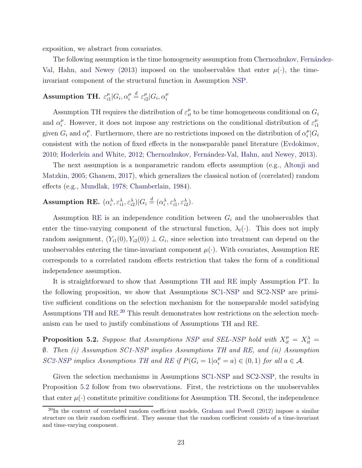exposition, we abstract from covariates.

The following assum[ption is the time homogeneity assumption from](#page-27-5) Chernozhukov, Fernández-Val, Hahn, and Newey [\(2013](#page-27-5)) imposed on the unobservables that enter  $\mu(\cdot)$ , the timeinvariant component of the structural function in Assumption [NSP.](#page-19-0)

#### <span id="page-23-0"></span>Assumption TH.  $\varepsilon_{i1}^{\mu}$  $_{i1}^{\mu}|G_i,\alpha_i^{\mu}$  $\frac{\mu}{i} \stackrel{d}{=} \varepsilon_{i2}^{\mu}$  $\frac{\mu}{i2}|G_i,\alpha_i^{\mu}$ i

Assumption [TH](#page-23-0) requires the distribution of  $\varepsilon_{it}^{\mu}$  to be time homogeneous conditional on  $G_i$ and  $\alpha_i^{\mu}$  $\mu_i^{\mu}$ . However, it does not impose any restrictions on the conditional distribution of  $\varepsilon_i^{\mu}$  $\frac{i}{1}$ given  $G_i$  and  $\alpha_i^{\mu}$  $\mu_i^{\mu}$ . Furthermore, there are no restrictions imposed on the distribution of  $\alpha_i^{\mu}$  $_i^{\mu}|G_i$ consistent with the notion of fixed effects in the nonseparable panel literature [\(Evdokimov,](#page-27-11) [2010;](#page-27-11) [Hoderlein and White](#page-28-6), [2012;](#page-28-6) [Chernozhukov, Fern´andez-Val, Hahn, and Newey](#page-27-5), [2013](#page-27-5)).

The [next assumption is a nonparametric random effects assumption](#page-25-1) (e.g., Altonji and Matzkin, [2005](#page-25-1); [Ghanem,](#page-27-6) [2017\)](#page-27-6), which generalizes the classical notion of (correlated) random effects (e.g., [Mundlak](#page-28-8), [1978](#page-28-8); [Chamberlain](#page-27-8), [1984](#page-27-8)).

# <span id="page-23-1"></span>Assumption RE.  $(\alpha_i^{\lambda}, \varepsilon_{i1}^{\lambda}, \varepsilon_{i2}^{\lambda}) | G_i \stackrel{d}{=} (\alpha_i^{\lambda}, \varepsilon_{i1}^{\lambda}, \varepsilon_{i2}^{\lambda}).$

Assumption [RE](#page-23-1) is an independence condition between  $G_i$  and the unobservables that enter the time-varying component of the structural function,  $\lambda_t(\cdot)$ . This does not imply random assignment,  $(Y_{i1}(0), Y_{i2}(0)) \perp G_i$ , since selection into treatment can depend on the unobservables entering the time-invariant component  $\mu(\cdot)$ . With covariates, Assumption [RE](#page-23-1) corresponds to a correlated random effects restriction that takes the form of a conditional independence assumption.

It is straightforward to show that Assumptions [TH](#page-23-0) and [RE](#page-23-1) imply Assumption [PT.](#page-6-2) In the following proposition, we show that Assumptions [SC1-NSP](#page-20-0) and [SC2-NSP](#page-20-1) are primitive sufficient conditions on the selection mechanism for the nonseparable model satisfying Assumptions [TH](#page-23-0) and [RE.](#page-23-1) [20](#page-23-2) This result demonstrates how restrictions on the selection mechanism can be used to justify combinations of Assumptions [TH](#page-23-0) and [RE.](#page-23-1)

<span id="page-23-3"></span>**Proposition 5.2.** Suppose that Assumptions [NSP](#page-19-0) and [SEL-NSP](#page-19-2) hold with  $X_{it}^{\mu} = X_{it}^{\lambda} =$ ∅. Then (i) Assumption [SC1-NSP](#page-20-0) implies Assumptions [TH](#page-23-0) and [RE,](#page-23-1) and (ii) Assumption [SC2-NSP](#page-20-1) implies Assumptions [TH](#page-23-0) and [RE](#page-23-1) if  $P(G_i = 1 | \alpha_i^{\mu} = a) \in (0,1)$  for all  $a \in \mathcal{A}$ .

Given the selection mechanisms in Assumptions [SC1-NSP](#page-20-0) and [SC2-NSP,](#page-20-1) the results in Proposition [5.2](#page-23-3) follow from two observations. First, the restrictions on the unobservables that enter  $\mu(\cdot)$  constitute primitive conditions for Assumption [TH.](#page-23-0) Second, the independence

<span id="page-23-2"></span> $^{20}$ In the context of correlated random coefficient models, [Graham and Powell](#page-27-10) [\(2012](#page-27-10)) impose a similar structure on their random coefficient. They assume that the random coefficient consists of a time-invariant and time-varying component.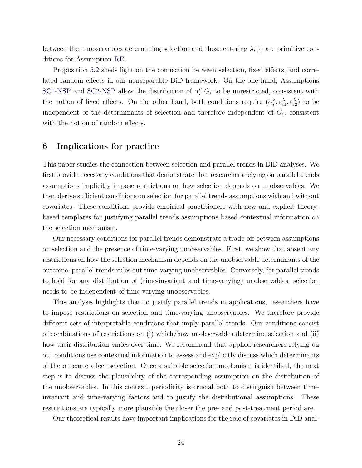between the unobservables determining selection and those entering  $\lambda_t(\cdot)$  are primitive conditions for Assumption [RE.](#page-23-1)

Proposition [5.2](#page-23-3) sheds light on the connection between selection, fixed effects, and correlated random effects in our nonseparable DiD framework. On the one hand, Assumptions [SC1-NSP](#page-20-0) and [SC2-NSP](#page-20-1) allow the distribution of  $\alpha_i^{\mu}$  $i<sup>\mu</sup>$  (*G<sub>i</sub>* to be unrestricted, consistent with the notion of fixed effects. On the other hand, both conditions require  $(\alpha_i^{\lambda}, \varepsilon_{i1}^{\lambda}, \varepsilon_{i2}^{\lambda})$  to be independent of the determinants of selection and therefore independent of  $G_i$ , consistent with the notion of random effects.

# <span id="page-24-0"></span>6 Implications for practice

This paper studies the connection between selection and parallel trends in DiD analyses. We first provide necessary conditions that demonstrate that researchers relying on parallel trends assumptions implicitly impose restrictions on how selection depends on unobservables. We then derive sufficient conditions on selection for parallel trends assumptions with and without covariates. These conditions provide empirical practitioners with new and explicit theorybased templates for justifying parallel trends assumptions based contextual information on the selection mechanism.

Our necessary conditions for parallel trends demonstrate a trade-off between assumptions on selection and the presence of time-varying unobservables. First, we show that absent any restrictions on how the selection mechanism depends on the unobservable determinants of the outcome, parallel trends rules out time-varying unobservables. Conversely, for parallel trends to hold for any distribution of (time-invariant and time-varying) unobservables, selection needs to be independent of time-varying unobservables.

This analysis highlights that to justify parallel trends in applications, researchers have to impose restrictions on selection and time-varying unobservables. We therefore provide different sets of interpretable conditions that imply parallel trends. Our conditions consist of combinations of restrictions on (i) which/how unobservables determine selection and (ii) how their distribution varies over time. We recommend that applied researchers relying on our conditions use contextual information to assess and explicitly discuss which determinants of the outcome affect selection. Once a suitable selection mechanism is identified, the next step is to discuss the plausibility of the corresponding assumption on the distribution of the unobservables. In this context, periodicity is crucial both to distinguish between timeinvariant and time-varying factors and to justify the distributional assumptions. These restrictions are typically more plausible the closer the pre- and post-treatment period are.

Our theoretical results have important implications for the role of covariates in DiD anal-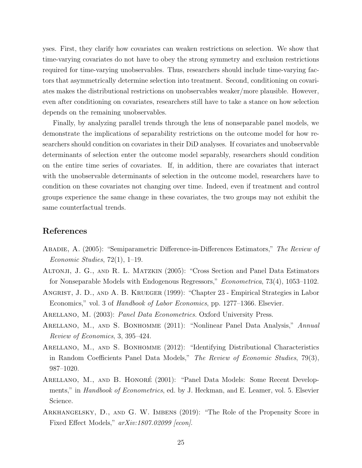yses. First, they clarify how covariates can weaken restrictions on selection. We show that time-varying covariates do not have to obey the strong symmetry and exclusion restrictions required for time-varying unobservables. Thus, researchers should include time-varying factors that asymmetrically determine selection into treatment. Second, conditioning on covariates makes the distributional restrictions on unobservables weaker/more plausible. However, even after conditioning on covariates, researchers still have to take a stance on how selection depends on the remaining unobservables.

Finally, by analyzing parallel trends through the lens of nonseparable panel models, we demonstrate the implications of separability restrictions on the outcome model for how researchers should condition on covariates in their DiD analyses. If covariates and unobservable determinants of selection enter the outcome model separably, researchers should condition on the entire time series of covariates. If, in addition, there are covariates that interact with the unobservable determinants of selection in the outcome model, researchers have to condition on these covariates not changing over time. Indeed, even if treatment and control groups experience the same change in these covariates, the two groups may not exhibit the same counterfactual trends.

# References

- <span id="page-25-6"></span>ABADIE, A. (2005): "Semiparametric Difference-in-Differences Estimators," The Review of Economic Studies,  $72(1)$ , 1–19.
- <span id="page-25-1"></span>Altonji, J. G., and R. L. Matzkin (2005): "Cross Section and Panel Data Estimators for Nonseparable Models with Endogenous Regressors," Econometrica, 73(4), 1053–1102.
- <span id="page-25-0"></span>ANGRIST, J. D., AND A. B. KRUEGER (1999): "Chapter 23 - Empirical Strategies in Labor Economics," vol. 3 of Handbook of Labor Economics, pp. 1277–1366. Elsevier.
- <span id="page-25-4"></span>ARELLANO, M. (2003): Panel Data Econometrics. Oxford University Press.
- <span id="page-25-3"></span>ARELLANO, M., AND S. BONHOMME (2011): "Nonlinear Panel Data Analysis," Annual Review of Economics, 3, 395–424.
- <span id="page-25-5"></span>ARELLANO, M., AND S. BONHOMME (2012): "Identifying Distributional Characteristics in Random Coefficients Panel Data Models," The Review of Economic Studies, 79(3), 987–1020.
- <span id="page-25-2"></span>ARELLANO, M., AND B. HONORÉ (2001): "Panel Data Models: Some Recent Developments," in *Handbook of Econometrics*, ed. by J. Heckman, and E. Leamer, vol. 5. Elsevier Science.
- <span id="page-25-7"></span>Arkhangelsky, D., and G. W. Imbens (2019): "The Role of the Propensity Score in Fixed Effect Models,"  $arXiv:1807.02099$  [econ].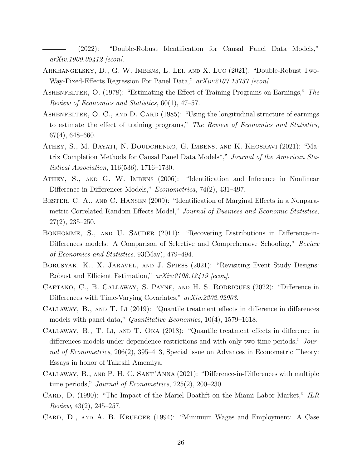<span id="page-26-7"></span>(2022): "Double-Robust Identification for Causal Panel Data Models," arXiv:1909.09412 [econ].

- <span id="page-26-8"></span>Arkhangelsky, D., G. W. Imbens, L. Lei, and X. Luo (2021): "Double-Robust Two-Way-Fixed-Effects Regression For Panel Data,"  $arXiv:2107.13737$  [econ].
- <span id="page-26-3"></span>ASHENFELTER, O. (1978): "Estimating the Effect of Training Programs on Earnings," The Review of Economics and Statistics, 60(1), 47–57.
- <span id="page-26-4"></span>ASHENFELTER, O. C., AND D. CARD (1985): "Using the longitudinal structure of earnings to estimate the effect of training programs," The Review of Economics and Statistics, 67(4), 648–660.
- <span id="page-26-9"></span>Athey, S., M. Bayati, N. Doudchenko, G. Imbens, and K. Khosravi (2021): "Matrix Completion Methods for Causal Panel Data Models\*," Journal of the American Statistical Association, 116(536), 1716–1730.
- <span id="page-26-11"></span>Athey, S., and G. W. Imbens (2006): "Identification and Inference in Nonlinear Difference-in-Differences Models," *Econometrica*, 74(2), 431–497.
- <span id="page-26-10"></span>BESTER, C. A., AND C. HANSEN (2009): "Identification of Marginal Effects in a Nonparametric Correlated Random Effects Model," Journal of Business and Economic Statistics, 27(2), 235–250.
- <span id="page-26-12"></span>BONHOMME, S., AND U. SAUDER (2011): "Recovering Distributions in Difference-in-Differences models: A Comparison of Selective and Comprehensive Schooling," Review of Economics and Statistics, 93(May), 479–494.
- <span id="page-26-1"></span>Borusyak, K., X. Jaravel, and J. Spiess (2021): "Revisiting Event Study Designs: Robust and Efficient Estimation," arXiv:2108.12419 [econ].
- <span id="page-26-2"></span>Caetano, C., B. Callaway, S. Payne, and H. S. Rodrigues (2022): "Difference in Differences with Time-Varying Covariates,"  $arXiv:2202.02903$ .
- <span id="page-26-14"></span>Callaway, B., and T. Li (2019): "Quantile treatment effects in difference in differences models with panel data," Quantitative Economics, 10(4), 1579–1618.
- <span id="page-26-13"></span>Callaway, B., T. Li, and T. Oka (2018): "Quantile treatment effects in difference in differences models under dependence restrictions and with only two time periods," Journal of Econometrics, 206(2), 395–413, Special issue on Advances in Econometric Theory: Essays in honor of Takeshi Amemiya.
- <span id="page-26-0"></span>Callaway, B., and P. H. C. Sant'Anna (2021): "Difference-in-Differences with multiple time periods," Journal of Econometrics, 225(2), 200–230.
- <span id="page-26-5"></span>CARD, D. (1990): "The Impact of the Mariel Boatlift on the Miami Labor Market," ILR Review, 43(2), 245–257.
- <span id="page-26-6"></span>CARD, D., AND A. B. KRUEGER (1994): "Minimum Wages and Employment: A Case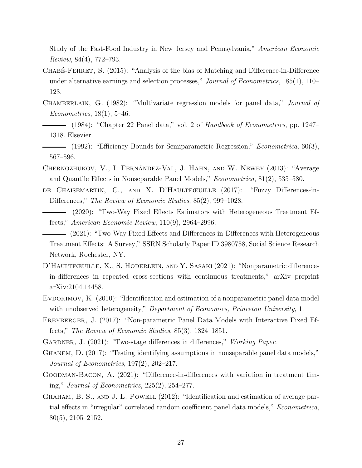Study of the Fast-Food Industry in New Jersey and Pennsylvania," American Economic Review, 84(4), 772–793.

- <span id="page-27-4"></span>CHABÉ-FERRET, S. (2015): "Analysis of the bias of Matching and Difference-in-Difference under alternative earnings and selection processes," Journal of Econometrics, 185(1), 110– 123.
- <span id="page-27-8"></span><span id="page-27-7"></span>CHAMBERLAIN, G. (1982): "Multivariate regression models for panel data," *Journal of* Econometrics,  $18(1)$ , 5-46.
	- (1984): "Chapter 22 Panel data," vol. 2 of Handbook of Econometrics, pp. 1247– 1318. Elsevier.
- <span id="page-27-9"></span>- (1992): "Efficiency Bounds for Semiparametric Regression," *Econometrica*, 60(3), 567–596.
- <span id="page-27-5"></span>CHERNOZHUKOV, V., I. FERNÁNDEZ-VAL, J. HAHN, AND W. NEWEY (2013): "Average and Quantile Effects in Nonseparable Panel Models," Econometrica, 81(2), 535–580.
- <span id="page-27-13"></span><span id="page-27-0"></span>DE CHAISEMARTIN, C., AND X. D'HAULTFŒUILLE (2017): "Fuzzy Differences-in-Differences," The Review of Economic Studies, 85(2), 999–1028.
	- (2020): "Two-Way Fixed Effects Estimators with Heterogeneous Treatment Effects," American Economic Review, 110(9), 2964–2996.
	- (2021): "Two-Way Fixed Effects and Differences-in-Differences with Heterogeneous Treatment Effects: A Survey," SSRN Scholarly Paper ID 3980758, Social Science Research Network, Rochester, NY.
- <span id="page-27-14"></span><span id="page-27-3"></span>D'HAULTFŒUILLE, X., S. HODERLEIN, AND Y. SASAKI (2021): "Nonparametric differencein-differences in repeated cross-sections with continuous treatments," arXiv preprint arXiv:2104.14458.
- <span id="page-27-11"></span>EVDOKIMOV, K. (2010): "Identification and estimation of a nonparametric panel data model with unobserved heterogeneity," Department of Economics, Princeton University, 1.
- <span id="page-27-12"></span>FREYBERGER, J. (2017): "Non-parametric Panel Data Models with Interactive Fixed Effects," The Review of Economic Studies, 85(3), 1824–1851.
- <span id="page-27-2"></span>GARDNER, J. (2021): "Two-stage differences in differences," Working Paper.
- <span id="page-27-6"></span>Ghanem, D. (2017): "Testing identifying assumptions in nonseparable panel data models," Journal of Econometrics, 197(2), 202–217.
- <span id="page-27-1"></span>Goodman-Bacon, A. (2021): "Difference-in-differences with variation in treatment timing," Journal of Econometrics, 225(2), 254–277.
- <span id="page-27-10"></span>GRAHAM, B. S., AND J. L. POWELL (2012): "Identification and estimation of average partial effects in "irregular" correlated random coefficient panel data models," Econometrica, 80(5), 2105–2152.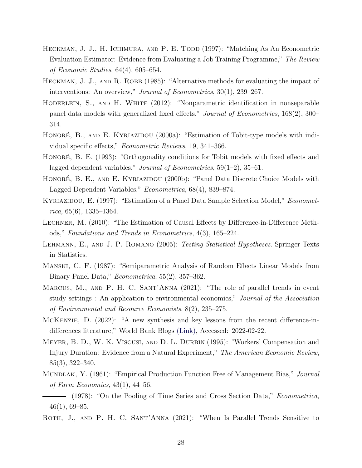- <span id="page-28-14"></span>HECKMAN, J. J., H. ICHIMURA, AND P. E. TODD (1997): "Matching As An Econometric Evaluation Estimator: Evidence from Evaluating a Job Training Programme," The Review of Economic Studies, 64(4), 605–654.
- <span id="page-28-2"></span>HECKMAN, J. J., AND R. ROBB (1985): "Alternative methods for evaluating the impact of interventions: An overview," Journal of Econometrics, 30(1), 239–267.
- <span id="page-28-6"></span>HODERLEIN, S., AND H. WHITE (2012): "Nonparametric identification in nonseparable panel data models with generalized fixed effects," Journal of Econometrics, 168(2), 300– 314.
- <span id="page-28-12"></span>HONORÉ, B., AND E. KYRIAZIDOU (2000a): "Estimation of Tobit-type models with individual specific effects," Econometric Reviews, 19, 341–366.
- <span id="page-28-10"></span>HONORÉ, B. E. (1993): "Orthogonality conditions for Tobit models with fixed effects and lagged dependent variables," *Journal of Econometrics*,  $59(1-2)$ ,  $35-61$ .
- <span id="page-28-13"></span>HONORÉ, B. E., AND E. KYRIAZIDOU (2000b): "Panel Data Discrete Choice Models with Lagged Dependent Variables," Econometrica, 68(4), 839–874.
- <span id="page-28-11"></span>KYRIAZIDOU, E. (1997): "Estimation of a Panel Data Sample Selection Model," *Economet* $rica, 65(6), 1335-1364.$
- <span id="page-28-4"></span>Lechner, M. (2010): "The Estimation of Causal Effects by Difference-in-Difference Methods," Foundations and Trends in Econometrics, 4(3), 165–224.
- <span id="page-28-15"></span>LEHMANN, E., AND J. P. ROMANO (2005): Testing Statistical Hypotheses. Springer Texts in Statistics.
- <span id="page-28-9"></span>Manski, C. F. (1987): "Semiparametric Analysis of Random Effects Linear Models from Binary Panel Data," Econometrica, 55(2), 357–362.
- <span id="page-28-1"></span>MARCUS, M., AND P. H. C. SANT'ANNA (2021): "The role of parallel trends in event study settings : An application to environmental economics," Journal of the Association of Environmental and Resource Economists, 8(2), 235–275.
- <span id="page-28-0"></span>McKenzie, D. (2022): "A new synthesis and key lessons from the recent difference-indifferences literature," World Bank Blogs [\(Link\),](https://blogs.worldbank.org/impactevaluations/new-synthesis-and-key-lessons-recent-difference-differences-literature?cid=SHR_BlogSiteShare_EN_EXT) Accessed: 2022-02-22.
- <span id="page-28-3"></span>Meyer, B. D., W. K. Viscusi, and D. L. Durbin (1995): "Workers' Compensation and Injury Duration: Evidence from a Natural Experiment," The American Economic Review, 85(3), 322–340.
- <span id="page-28-7"></span>MUNDLAK, Y. (1961): "Empirical Production Function Free of Management Bias," Journal of Farm Economics, 43(1), 44–56.
- <span id="page-28-8"></span>- (1978): "On the Pooling of Time Series and Cross Section Data," *Econometrica*,  $46(1), 69-85.$
- <span id="page-28-5"></span>ROTH, J., AND P. H. C. SANT'ANNA (2021): "When Is Parallel Trends Sensitive to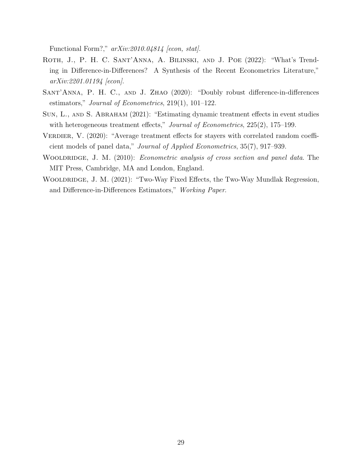Functional Form?,"  $arXiv:2010.04814$  [econ, stat].

- <span id="page-29-2"></span>ROTH, J., P. H. C. SANT'ANNA, A. BILINSKI, AND J. POE (2022): "What's Trending in Difference-in-Differences? A Synthesis of the Recent Econometrics Literature," arXiv:2201.01194 [econ].
- <span id="page-29-5"></span>SANT'ANNA, P. H. C., AND J. ZHAO (2020): "Doubly robust difference-in-differences estimators," Journal of Econometrics, 219(1), 101–122.
- <span id="page-29-0"></span>Sun, L., and S. Abraham (2021): "Estimating dynamic treatment effects in event studies with heterogeneous treatment effects," Journal of Econometrics, 225(2), 175–199.
- <span id="page-29-3"></span>VERDIER, V. (2020): "Average treatment effects for stayers with correlated random coefficient models of panel data," Journal of Applied Econometrics, 35(7), 917–939.
- <span id="page-29-4"></span>WOOLDRIDGE, J. M. (2010): *Econometric analysis of cross section and panel data*. The MIT Press, Cambridge, MA and London, England.
- <span id="page-29-1"></span>WOOLDRIDGE, J. M. (2021): "Two-Way Fixed Effects, the Two-Way Mundlak Regression, and Difference-in-Differences Estimators," Working Paper.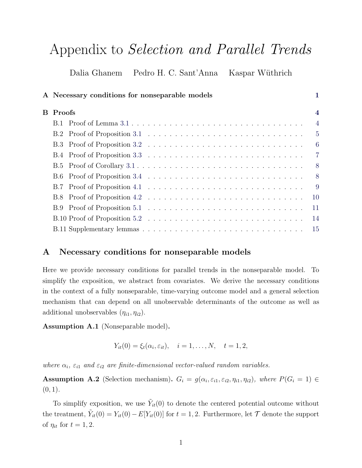# Appendix to Selection and Parallel Trends

Dalia Ghanem Pedro H. C. Sant'Anna Kaspar Wüthrich

| A Necessary conditions for nonseparable models | 1                       |
|------------------------------------------------|-------------------------|
| <b>B</b> Proofs                                | $\overline{\mathbf{4}}$ |
|                                                | $\overline{4}$          |
|                                                | $-5$                    |
|                                                | $-6$                    |
|                                                | $\overline{7}$          |
|                                                | 8 <sup>8</sup>          |
|                                                | 8 <sup>8</sup>          |
|                                                | -9                      |
|                                                | <b>10</b>               |
|                                                | 11                      |
|                                                | 14                      |
|                                                | <sup>15</sup>           |

# <span id="page-30-0"></span>A Necessary conditions for nonseparable models

Here we provide necessary conditions for parallel trends in the nonseparable model. To simplify the exposition, we abstract from covariates. We derive the necessary conditions in the context of a fully nonseparable, time-varying outcome model and a general selection mechanism that can depend on all unobservable determinants of the outcome as well as additional unobservables  $(\eta_{i1}, \eta_{i2})$ .

<span id="page-30-1"></span>Assumption A.1 (Nonseparable model).

$$
Y_{it}(0) = \xi_t(\alpha_i, \varepsilon_{it}), \quad i = 1, ..., N, \quad t = 1, 2,
$$

where  $\alpha_i$ ,  $\varepsilon_{i1}$  and  $\varepsilon_{i2}$  are finite-dimensional vector-valued random variables.

<span id="page-30-2"></span>**Assumption A.2** (Selection mechanism).  $G_i = g(\alpha_i, \varepsilon_{i1}, \varepsilon_{i2}, \eta_{i1}, \eta_{i2})$ , where  $P(G_i = 1) \in$  $(0, 1)$ .

To simplify exposition, we use  $\tilde{Y}_{it}(0)$  to denote the centered potential outcome without the treatment,  $\tilde{Y}_{it}(0) = Y_{it}(0) - E[Y_{it}(0)]$  for  $t = 1, 2$ . Furthermore, let  $\mathcal T$  denote the support of  $\eta_{it}$  for  $t = 1, 2$ .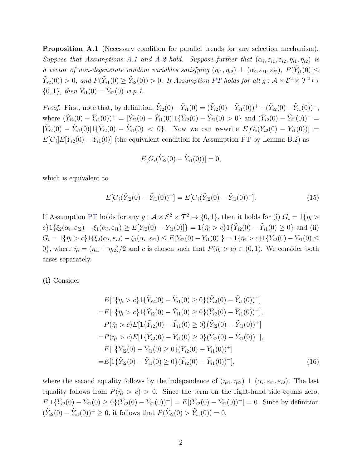Proposition A.1 (Necessary condition for parallel trends for any selection mechanism). Suppose that Assumptions [A.1](#page-30-1) and [A.2](#page-30-2) hold. Suppose further that  $(\alpha_i, \varepsilon_{i1}, \varepsilon_{i2}, \eta_{i1}, \eta_{i2})$  is a vector of non-degenerate random variables satisfying  $(\eta_{i1}, \eta_{i2}) \perp (\alpha_i, \varepsilon_{i1}, \varepsilon_{i2}), P(\tilde{Y}_{i1}(0) \leq$  $\tilde{Y}_{i2}(0)) > 0$ , and  $P(\tilde{Y}_{i1}(0) \ge \tilde{Y}_{i2}(0)) > 0$ . If Assumption [PT](#page-6-2) holds for all  $g: \mathcal{A} \times \mathcal{E}^2 \times \mathcal{T}^2 \mapsto$  ${0, 1}$ , then  $\tilde{Y}_{i1}(0) = \tilde{Y}_{i2}(0)$  w.p.1.

*Proof.* First, note that, by definition,  $\tilde{Y}_{i2}(0) - \tilde{Y}_{i1}(0) = (\tilde{Y}_{i2}(0) - \tilde{Y}_{i1}(0))^+ - (\tilde{Y}_{i2}(0) - \tilde{Y}_{i1}(0))^-,$ where  $(\tilde{Y}_{i2}(0) - \tilde{Y}_{i1}(0))^+ = |\tilde{Y}_{i2}(0) - \tilde{Y}_{i1}(0)|1\{\tilde{Y}_{i2}(0) - \tilde{Y}_{i1}(0) > 0\}$  and  $(\tilde{Y}_{i2}(0) - \tilde{Y}_{i1}(0))^ |\tilde{Y}_{i2}(0) - \tilde{Y}_{i1}(0)|1\{\tilde{Y}_{i2}(0) - \tilde{Y}_{i1}(0) \leq 0\}$ . Now we can re-write  $E[G_i(Y_{i2}(0) - Y_{i1}(0))] =$  $E[G_i]E[Y_{i2}(0) - Y_{i1}(0)]$  (the equivalent condition for Assumption [PT](#page-6-2) by Lemma [B.2\)](#page-45-0) as

$$
E[G_i(\tilde{Y}_{i2}(0) - \tilde{Y}_{i1}(0))] = 0,
$$

which is equivalent to

$$
E[G_i(\tilde{Y}_{i2}(0) - \tilde{Y}_{i1}(0))^+] = E[G_i(\tilde{Y}_{i2}(0) - \tilde{Y}_{i1}(0))^-\].
$$
\n(15)

If Assumption [PT](#page-6-2) holds for any  $g: \mathcal{A} \times \mathcal{E}^2 \times \mathcal{T}^2 \mapsto \{0,1\}$ , then it holds for (i)  $G_i = 1\{\bar{\eta}_i >$  $c\}1\{\xi_2(\alpha_i,\varepsilon_{i2}) - \xi_1(\alpha_i,\varepsilon_{i1}) \ge E[Y_{i2}(0) - Y_{i1}(0)]\} = 1\{\bar{\eta}_i > c\}1\{\tilde{Y}_{i2}(0) - \tilde{Y}_{i1}(0) \ge 0\}$  and (ii)  $G_i = 1\{\bar{\eta}_i > c\}1\{\xi_2(\alpha_i, \varepsilon_{i2}) - \xi_1(\alpha_i, \varepsilon_{i1}) \le E[Y_{i2}(0) - Y_{i1}(0)]\} = 1\{\bar{\eta}_i > c\}1\{\tilde{Y}_{i2}(0) - \tilde{Y}_{i1}(0) \le E[Y_{i2}(0) - Y_{i2}(0)]\}$ 0}, where  $\bar{\eta}_i = (\eta_{i1} + \eta_{i2})/2$  and c is chosen such that  $P(\bar{\eta}_i > c) \in (0, 1)$ . We consider both cases separately.

(i) Consider

$$
E[1{\bar{\eta}_i > c}1{\bar{Y}_{i2}(0) - \tilde{Y}_{i1}(0) \ge 0}(\tilde{Y}_{i2}(0) - \tilde{Y}_{i1}(0))^+]
$$
  
\n
$$
=E[1{\bar{\eta}_i > c}1{\bar{Y}_{i2}(0) - \tilde{Y}_{i1}(0) \ge 0}(\tilde{Y}_{i2}(0) - \tilde{Y}_{i1}(0))^-],
$$
  
\n
$$
P(\bar{\eta}_i > c)E[1{\bar{Y}_{i2}(0) - \tilde{Y}_{i1}(0) \ge 0}(\tilde{Y}_{i2}(0) - \tilde{Y}_{i1}(0))^+]
$$
  
\n
$$
=P(\bar{\eta}_i > c)E[1{\bar{Y}_{i2}(0) - \tilde{Y}_{i1}(0) \ge 0}(\tilde{Y}_{i2}(0) - \tilde{Y}_{i1}(0))^-],
$$
  
\n
$$
E[1{\bar{Y}_{i2}(0) - \tilde{Y}_{i1}(0) \ge 0}(\tilde{Y}_{i2}(0) - \tilde{Y}_{i1}(0))^+]
$$
  
\n
$$
=E[1{\bar{Y}_{i2}(0) - \tilde{Y}_{i1}(0) \ge 0}(\tilde{Y}_{i2}(0) - \tilde{Y}_{i1}(0))^-],
$$
  
\n(16)

where the second equality follows by the independence of  $(\eta_{i1}, \eta_{i2}) \perp (\alpha_i, \varepsilon_{i1}, \varepsilon_{i2})$ . The last equality follows from  $P(\bar{\eta}_i > c) > 0$ . Since the term on the right-hand side equals zero,  $E[1\{\tilde{Y}_{i2}(0) - \tilde{Y}_{i1}(0) \ge 0\}(\tilde{Y}_{i2}(0) - \tilde{Y}_{i1}(0))^+] = E[(\tilde{Y}_{i2}(0) - \tilde{Y}_{i1}(0))^+] = 0.$  Since by definition  $(\tilde{Y}_{i2}(0) - \tilde{Y}_{i1}(0))^+ \geq 0$ , it follows that  $P(\tilde{Y}_{i2}(0) > \tilde{Y}_{i1}(0)) = 0$ .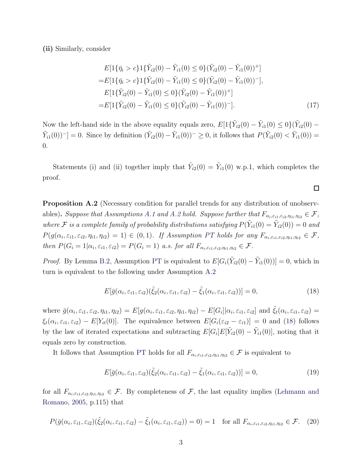(ii) Similarly, consider

$$
E[1{\{\bar{\eta}_i > c\}}1{\{\tilde{Y}_{i2}(0) - \tilde{Y}_{i1}(0) \le 0\}}(\tilde{Y}_{i2}(0) - \tilde{Y}_{i1}(0))^{+}]
$$
  
\n
$$
= E[1{\{\bar{\eta}_i > c\}}1{\{\tilde{Y}_{i2}(0) - \tilde{Y}_{i1}(0) \le 0\}}(\tilde{Y}_{i2}(0) - \tilde{Y}_{i1}(0))^{-}],
$$
  
\n
$$
E[1{\{\tilde{Y}_{i2}(0) - \tilde{Y}_{i1}(0) \le 0\}}(\tilde{Y}_{i2}(0) - \tilde{Y}_{i1}(0))^{+}]
$$
  
\n
$$
= E[1{\{\tilde{Y}_{i2}(0) - \tilde{Y}_{i1}(0) \le 0\}}(\tilde{Y}_{i2}(0) - \tilde{Y}_{i1}(0))^{-}].
$$
\n(17)

Now the left-hand side in the above equality equals zero,  $E[1\{\tilde{Y}_{i2}(0) - \tilde{Y}_{i1}(0) \le 0\}(\tilde{Y}_{i2}(0) \tilde{Y}_{i1}(0)^{-1} = 0$ . Since by definition  $(\tilde{Y}_{i2}(0) - \tilde{Y}_{i1}(0))^{-} \geq 0$ , it follows that  $P(\tilde{Y}_{i2}(0) < \tilde{Y}_{i1}(0)) =$ 0.

Statements (i) and (ii) together imply that  $\tilde{Y}_{i2}(0) = \tilde{Y}_{i1}(0)$  w.p.1, which completes the proof.

Proposition A.2 (Necessary condition for parallel trends for any distribution of unobserv-ables). Suppose that Assumptions [A.1](#page-30-1) and [A.2](#page-30-2) hold. Suppose further that  $F_{\alpha_i,\varepsilon_{i1},\varepsilon_{i2},\eta_{i1},\eta_{i2}} \in \mathcal{F}$ , where F is a complete family of probability distributions satisfying  $P(\tilde{Y}_{i1}(0) = \tilde{Y}_{i2}(0)) = 0$  and  $P(g(\alpha_i, \varepsilon_{i1}, \varepsilon_{i2}, \eta_{i1}, \eta_{i2}) = 1) \in (0, 1)$ . If Assumption [PT](#page-6-2) holds for any  $F_{\alpha_i, \varepsilon_{i1}, \varepsilon_{i2}, \eta_{i1}, \eta_{i2}} \in \mathcal{F}$ , then  $P(G_i = 1 | \alpha_i, \varepsilon_{i1}, \varepsilon_{i2}) = P(G_i = 1)$  a.s. for all  $F_{\alpha_i, \varepsilon_{i1}, \varepsilon_{i2}, \eta_{i1}, \eta_{i2}} \in \mathcal{F}$ .

*Proof.* By Lemma [B.2,](#page-45-0) Assumption [PT](#page-6-2) is equivalent to  $E[G_i(\tilde{Y}_{i2}(0) - \tilde{Y}_{i1}(0))] = 0$ , which in turn is equivalent to the following under Assumption [A.2](#page-30-2)

$$
E[\bar{g}(\alpha_i, \varepsilon_{i1}, \varepsilon_{i2})(\tilde{\xi}_2(\alpha_i, \varepsilon_{i1}, \varepsilon_{i2}) - \tilde{\xi}_1(\alpha_i, \varepsilon_{i1}, \varepsilon_{i2}))] = 0,
$$
\n(18)

where  $\bar{g}(\alpha_i, \varepsilon_{i1}, \varepsilon_{i2}, \eta_{i1}, \eta_{i2}) = E[g(\alpha_i, \varepsilon_{i1}, \varepsilon_{i2}, \eta_{i1}, \eta_{i2}) - E[G_i] | \alpha_i, \varepsilon_{i1}, \varepsilon_{i2}]$  and  $\tilde{\xi}_t(\alpha_i, \varepsilon_{i1}, \varepsilon_{i2}) =$  $\xi_t(\alpha_i, \varepsilon_{i1}, \varepsilon_{i2}) - E[Y_{it}(0)]$ . The equivalence between  $E[G_i(\varepsilon_{i2} - \varepsilon_{i1})] = 0$  and [\(18\)](#page-32-0) follows by the law of iterated expectations and subtracting  $E[G_i]E[\tilde{Y}_{i2}(0) - \tilde{Y}_{i1}(0)]$ , noting that it equals zero by construction.

It follows that Assumption [PT](#page-6-2) holds for all  $F_{\alpha_i,\varepsilon_{i1},\varepsilon_{i2},\eta_{i1},\eta_{i2}} \in \mathcal{F}$  is equivalent to

<span id="page-32-1"></span>
$$
E[\bar{g}(\alpha_i, \varepsilon_{i1}, \varepsilon_{i2})(\tilde{\xi}_2(\alpha_i, \varepsilon_{i1}, \varepsilon_{i2}) - \tilde{\xi}_1(\alpha_i, \varepsilon_{i1}, \varepsilon_{i2}))] = 0,
$$
\n(19)

for all  $F_{\alpha_i,\varepsilon_{i1},\varepsilon_{i2},\eta_{i1},\eta_{i2}} \in \mathcal{F}$ . By completeness of  $\mathcal{F}$ [, the last equality implies \(](#page-28-15)Lehmann and Romano, [2005](#page-28-15), p.115) that

$$
P(\bar{g}(\alpha_i, \varepsilon_{i1}, \varepsilon_{i2})(\tilde{\xi}_2(\alpha_i, \varepsilon_{i1}, \varepsilon_{i2}) - \tilde{\xi}_1(\alpha_i, \varepsilon_{i1}, \varepsilon_{i2})) = 0) = 1 \text{ for all } F_{\alpha_i, \varepsilon_{i1}, \varepsilon_{i2}, \eta_{i1}, \eta_{i2}} \in \mathcal{F}. \tag{20}
$$

<span id="page-32-0"></span> $\Box$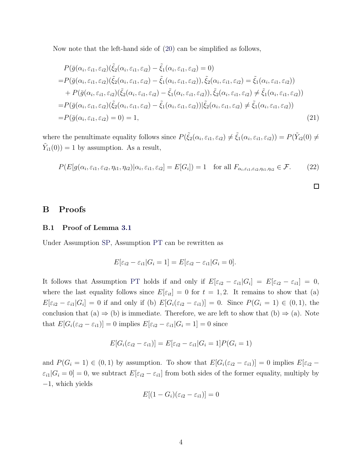Now note that the left-hand side of [\(20\)](#page-32-1) can be simplified as follows,

$$
P(\bar{g}(\alpha_i, \varepsilon_{i1}, \varepsilon_{i2})(\tilde{\xi}_2(\alpha_i, \varepsilon_{i1}, \varepsilon_{i2}) - \tilde{\xi}_1(\alpha_i, \varepsilon_{i1}, \varepsilon_{i2}) = 0)
$$
  
\n
$$
= P(\bar{g}(\alpha_i, \varepsilon_{i1}, \varepsilon_{i2})(\tilde{\xi}_2(\alpha_i, \varepsilon_{i1}, \varepsilon_{i2}) - \tilde{\xi}_1(\alpha_i, \varepsilon_{i1}, \varepsilon_{i2})), \tilde{\xi}_2(\alpha_i, \varepsilon_{i1}, \varepsilon_{i2}) = \tilde{\xi}_1(\alpha_i, \varepsilon_{i1}, \varepsilon_{i2}))
$$
  
\n
$$
+ P(\bar{g}(\alpha_i, \varepsilon_{i1}, \varepsilon_{i2})(\tilde{\xi}_2(\alpha_i, \varepsilon_{i1}, \varepsilon_{i2}) - \tilde{\xi}_1(\alpha_i, \varepsilon_{i1}, \varepsilon_{i2})), \tilde{\xi}_2(\alpha_i, \varepsilon_{i1}, \varepsilon_{i2}) \neq \tilde{\xi}_1(\alpha_i, \varepsilon_{i1}, \varepsilon_{i2}))
$$
  
\n
$$
= P(\bar{g}(\alpha_i, \varepsilon_{i1}, \varepsilon_{i2})(\tilde{\xi}_2(\alpha_i, \varepsilon_{i1}, \varepsilon_{i2}) - \tilde{\xi}_1(\alpha_i, \varepsilon_{i1}, \varepsilon_{i2}))|\tilde{\xi}_2(\alpha_i, \varepsilon_{i1}, \varepsilon_{i2}) \neq \tilde{\xi}_1(\alpha_i, \varepsilon_{i1}, \varepsilon_{i2}))
$$
  
\n
$$
= P(\bar{g}(\alpha_i, \varepsilon_{i1}, \varepsilon_{i2}) = 0) = 1,
$$
\n(21)

where the penultimate equality follows since  $P(\tilde{\xi}_2(\alpha_i, \varepsilon_{i1}, \varepsilon_{i2}) \neq \tilde{\xi}_1(\alpha_i, \varepsilon_{i1}, \varepsilon_{i2})) = P(\tilde{Y}_{i2}(0) \neq$  $\tilde{Y}_{i1}(0)$  = 1 by assumption. As a result,

$$
P(E[g(\alpha_i, \varepsilon_{i1}, \varepsilon_{i2}, \eta_{i1}, \eta_{i2}) | \alpha_i, \varepsilon_{i1}, \varepsilon_{i2}] = E[G_i]) = 1 \text{ for all } F_{\alpha_i, \varepsilon_{i1}, \varepsilon_{i2}, \eta_{i1}, \eta_{i2}} \in \mathcal{F}.
$$
 (22)

# <span id="page-33-1"></span><span id="page-33-0"></span>B Proofs

# B.1 Proof of Lemma [3.1](#page-8-3)

Under Assumption [SP,](#page-8-0) Assumption [PT](#page-6-2) can be rewritten as

$$
E[\varepsilon_{i2} - \varepsilon_{i1}|G_i = 1] = E[\varepsilon_{i2} - \varepsilon_{i1}|G_i = 0].
$$

It follows that Assumption [PT](#page-6-2) holds if and only if  $E[\varepsilon_{i2} - \varepsilon_{i1} | G_i] = E[\varepsilon_{i2} - \varepsilon_{i1}] = 0$ , where the last equality follows since  $E[\varepsilon_{it}] = 0$  for  $t = 1, 2$ . It remains to show that (a)  $E[\varepsilon_{i2} - \varepsilon_{i1}|G_i] = 0$  if and only if (b)  $E[G_i(\varepsilon_{i2} - \varepsilon_{i1})] = 0$ . Since  $P(G_i = 1) \in (0, 1)$ , the conclusion that  $(a) \Rightarrow (b)$  is immediate. Therefore, we are left to show that  $(b) \Rightarrow (a)$ . Note that  $E[G_i(\varepsilon_{i2} - \varepsilon_{i1})] = 0$  implies  $E[\varepsilon_{i2} - \varepsilon_{i1} | G_i = 1] = 0$  since

$$
E[G_i(\varepsilon_{i2} - \varepsilon_{i1})] = E[\varepsilon_{i2} - \varepsilon_{i1} | G_i = 1]P(G_i = 1)
$$

and  $P(G_i = 1) \in (0, 1)$  by assumption. To show that  $E[G_i(\varepsilon_{i2} - \varepsilon_{i1})] = 0$  implies  $E[\varepsilon_{i2} \varepsilon_{i1}|G_i = 0| = 0$ , we subtract  $E[\varepsilon_{i2} - \varepsilon_{i1}]$  from both sides of the former equality, multiply by −1, which yields

$$
E[(1 - G_i)(\varepsilon_{i2} - \varepsilon_{i1})] = 0
$$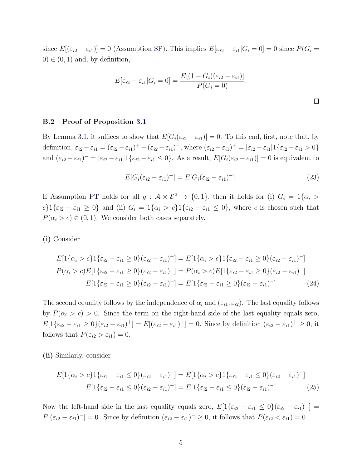since  $E[(\varepsilon_{i2} - \varepsilon_{i1})] = 0$  (Assumption [SP\)](#page-8-0). This implies  $E[\varepsilon_{i2} - \varepsilon_{i1} | G_i = 0] = 0$  since  $P(G_i =$  $0 \in (0, 1)$  and, by definition,

$$
E[\varepsilon_{i2} - \varepsilon_{i1}|G_i = 0] = \frac{E[(1 - G_i)(\varepsilon_{i2} - \varepsilon_{i1})]}{P(G_i = 0)}.
$$

# <span id="page-34-0"></span>B.2 Proof of Proposition [3.1](#page-9-4)

By Lemma [3.1,](#page-8-3) it suffices to show that  $E[G_i(\varepsilon_{i2} - \varepsilon_{i1})] = 0$ . To this end, first, note that, by definition,  $\varepsilon_{i2} - \varepsilon_{i1} = (\varepsilon_{i2} - \varepsilon_{i1})^+ - (\varepsilon_{i2} - \varepsilon_{i1})^-$ , where  $(\varepsilon_{i2} - \varepsilon_{i1})^+ = |\varepsilon_{i2} - \varepsilon_{i1}| \{ \varepsilon_{i2} - \varepsilon_{i1} > 0 \}$ and  $(\varepsilon_{i2} - \varepsilon_{i1})^{-} = |\varepsilon_{i2} - \varepsilon_{i1}| \mathbb{1}_{\{\varepsilon_{i2} - \varepsilon_{i1} \leq 0\}}$ . As a result,  $E[G_i(\varepsilon_{i2} - \varepsilon_{i1})] = 0$  is equivalent to

$$
E[G_i(\varepsilon_{i2} - \varepsilon_{i1})^+] = E[G_i(\varepsilon_{i2} - \varepsilon_{i1})^-].
$$
\n(23)

 $\Box$ 

If Assumption [PT](#page-6-2) holds for all  $g: \mathcal{A} \times \mathcal{E}^2 \mapsto \{0,1\}$ , then it holds for (i)  $G_i = 1\{\alpha_i >$ c}1{ $\varepsilon_{i2} - \varepsilon_{i1} \geq 0$ } and (ii)  $G_i = 1\{\alpha_i > c\}1\{\varepsilon_{i2} - \varepsilon_{i1} \leq 0\}$ , where c is chosen such that  $P(\alpha_i > c) \in (0, 1)$ . We consider both cases separately.

(i) Consider

$$
E[1\{\alpha_i > c\}1\{\varepsilon_{i2} - \varepsilon_{i1} \ge 0\}(\varepsilon_{i2} - \varepsilon_{i1})^+\} = E[1\{\alpha_i > c\}1\{\varepsilon_{i2} - \varepsilon_{i1} \ge 0\}(\varepsilon_{i2} - \varepsilon_{i1})^-\}]
$$
  
\n
$$
P(\alpha_i > c)E[1\{\varepsilon_{i2} - \varepsilon_{i1} \ge 0\}(\varepsilon_{i2} - \varepsilon_{i1})^+\} = P(\alpha_i > c)E[1\{\varepsilon_{i2} - \varepsilon_{i1} \ge 0\}(\varepsilon_{i2} - \varepsilon_{i1})^-\}]
$$
  
\n
$$
E[1\{\varepsilon_{i2} - \varepsilon_{i1} \ge 0\}(\varepsilon_{i2} - \varepsilon_{i1})^+\} = E[1\{\varepsilon_{i2} - \varepsilon_{i1} \ge 0\}(\varepsilon_{i2} - \varepsilon_{i1})^-\}]
$$
 (24)

The second equality follows by the independence of  $\alpha_i$  and  $(\varepsilon_{i1}, \varepsilon_{i2})$ . The last equality follows by  $P(\alpha_i > c) > 0$ . Since the term on the right-hand side of the last equality equals zero,  $E[1\{\varepsilon_{i2}-\varepsilon_{i1}\geq 0\}(\varepsilon_{i2}-\varepsilon_{i1})^+] = E[(\varepsilon_{i2}-\varepsilon_{i1})^+] = 0$ . Since by definition  $(\varepsilon_{i2}-\varepsilon_{i1})^+ \geq 0$ , it follows that  $P(\varepsilon_{i2} > \varepsilon_{i1}) = 0$ .

(ii) Similarly, consider

$$
E[1\{\alpha_i > c\}1\{\varepsilon_{i2} - \varepsilon_{i1} \le 0\}(\varepsilon_{i2} - \varepsilon_{i1})^+] = E[1\{\alpha_i > c\}1\{\varepsilon_{i2} - \varepsilon_{i1} \le 0\}(\varepsilon_{i2} - \varepsilon_{i1})^-]
$$

$$
E[1\{\varepsilon_{i2} - \varepsilon_{i1} \le 0\}(\varepsilon_{i2} - \varepsilon_{i1})^+] = E[1\{\varepsilon_{i2} - \varepsilon_{i1} \le 0\}(\varepsilon_{i2} - \varepsilon_{i1})^-].
$$
(25)

Now the left-hand side in the last equality equals zero,  $E[1\{\varepsilon_{i2} - \varepsilon_{i1} \leq 0\}(\varepsilon_{i2} - \varepsilon_{i1})^{-}] =$  $E[(\varepsilon_{i2} - \varepsilon_{i1})^{-}] = 0$ . Since by definition  $(\varepsilon_{i2} - \varepsilon_{i1})^{-} \geq 0$ , it follows that  $P(\varepsilon_{i2} < \varepsilon_{i1}) = 0$ .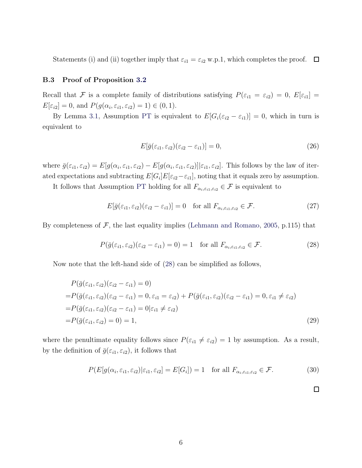<span id="page-35-0"></span>Statements (i) and (ii) together imply that  $\varepsilon_{i1} = \varepsilon_{i2}$  w.p.1, which completes the proof.  $\Box$ 

# B.3 Proof of Proposition [3.2](#page-10-0)

Recall that F is a complete family of distributions satisfying  $P(\varepsilon_{i1} = \varepsilon_{i2}) = 0$ ,  $E[\varepsilon_{i1}] =$  $E[\varepsilon_{i2}] = 0$ , and  $P(g(\alpha_i, \varepsilon_{i1}, \varepsilon_{i2}) = 1) \in (0, 1)$ .

By Lemma [3.1,](#page-8-3) Assumption [PT](#page-6-2) is equivalent to  $E[G_i(\varepsilon_{i2} - \varepsilon_{i1})] = 0$ , which in turn is equivalent to

$$
E[\bar{g}(\varepsilon_{i1}, \varepsilon_{i2})(\varepsilon_{i2} - \varepsilon_{i1})] = 0, \qquad (26)
$$

where  $\bar{g}(\varepsilon_{i1}, \varepsilon_{i2}) = E[g(\alpha_i, \varepsilon_{i1}, \varepsilon_{i2}) - E[g(\alpha_i, \varepsilon_{i1}, \varepsilon_{i2})] | \varepsilon_{i1}, \varepsilon_{i2}]$ . This follows by the law of iterated expectations and subtracting  $E[G_i]E[\varepsilon_{i2}-\varepsilon_{i1}]$ , noting that it equals zero by assumption.

It follows that Assumption [PT](#page-6-2) holding for all  $F_{\alpha_i,\varepsilon_{i1},\varepsilon_{i2}} \in \mathcal{F}$  is equivalent to

$$
E[\bar{g}(\varepsilon_{i1}, \varepsilon_{i2})(\varepsilon_{i2} - \varepsilon_{i1})] = 0 \quad \text{for all } F_{\alpha_i, \varepsilon_{i1}, \varepsilon_{i2}} \in \mathcal{F}.
$$
 (27)

By completeness of  $F$ , the last equality implies [\(Lehmann and Romano,](#page-28-15) [2005,](#page-28-15) p.115) that

$$
P(\bar{g}(\varepsilon_{i1}, \varepsilon_{i2})(\varepsilon_{i2} - \varepsilon_{i1}) = 0) = 1 \quad \text{for all } F_{\alpha_i, \varepsilon_{i1}, \varepsilon_{i2}} \in \mathcal{F}.
$$
 (28)

Now note that the left-hand side of [\(28\)](#page-35-1) can be simplified as follows,

$$
P(\bar{g}(\varepsilon_{i1}, \varepsilon_{i2})(\varepsilon_{i2} - \varepsilon_{i1}) = 0)
$$
  
=  $P(\bar{g}(\varepsilon_{i1}, \varepsilon_{i2})(\varepsilon_{i2} - \varepsilon_{i1}) = 0, \varepsilon_{i1} = \varepsilon_{i2}) + P(\bar{g}(\varepsilon_{i1}, \varepsilon_{i2})(\varepsilon_{i2} - \varepsilon_{i1}) = 0, \varepsilon_{i1} \neq \varepsilon_{i2})$   
=  $P(\bar{g}(\varepsilon_{i1}, \varepsilon_{i2})(\varepsilon_{i2} - \varepsilon_{i1}) = 0 | \varepsilon_{i1} \neq \varepsilon_{i2})$   
=  $P(\bar{g}(\varepsilon_{i1}, \varepsilon_{i2}) = 0) = 1,$  (29)

where the penultimate equality follows since  $P(\varepsilon_{i1} \neq \varepsilon_{i2}) = 1$  by assumption. As a result, by the definition of  $\bar{g}(\varepsilon_{i1}, \varepsilon_{i2})$ , it follows that

$$
P(E[g(\alpha_i, \varepsilon_{i1}, \varepsilon_{i2}) | \varepsilon_{i1}, \varepsilon_{i2}] = E[G_i]) = 1 \text{ for all } F_{\alpha_i, \varepsilon_{i1}, \varepsilon_{i2}} \in \mathcal{F}.
$$
 (30)

<span id="page-35-1"></span> $\Box$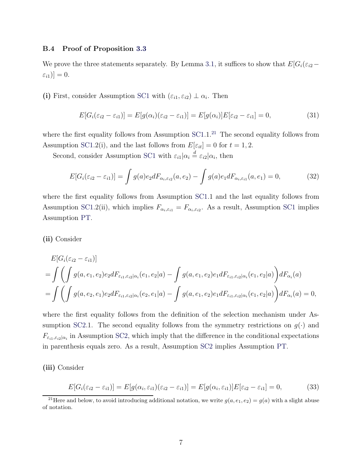# <span id="page-36-0"></span>B.4 Proof of Proposition [3.3](#page-13-1)

We prove the three statements separately. By Lemma [3.1,](#page-8-3) it suffices to show that  $E[G_i(\varepsilon_{i2} [\varepsilon_{i1})]=0.$ 

(i) First, consider Assumption [SC1](#page-11-1) with  $(\varepsilon_{i1}, \varepsilon_{i2}) \perp \alpha_i$ . Then

$$
E[G_i(\varepsilon_{i2}-\varepsilon_{i1})]=E[g(\alpha_i)(\varepsilon_{i2}-\varepsilon_{i1})]=E[g(\alpha_i)]E[\varepsilon_{i2}-\varepsilon_{i1}]=0,
$$
\n(31)

where the first equality follows from Assumption  $SC1.1<sup>21</sup>$  $SC1.1<sup>21</sup>$  $SC1.1<sup>21</sup>$  $SC1.1<sup>21</sup>$  The second equality follows from Assumption [SC1.](#page-11-1)2(i), and the last follows from  $E[\varepsilon_{it}] = 0$  for  $t = 1, 2$ .

Second, consider Assumption [SC1](#page-11-1) with  $\varepsilon_{i1}|\alpha_i \stackrel{d}{=} \varepsilon_{i2}|\alpha_i$ , then

$$
E[G_i(\varepsilon_{i2} - \varepsilon_{i1})] = \int g(a)e_2 dF_{\alpha_i, \varepsilon_{i2}}(a, e_2) - \int g(a)e_1 dF_{\alpha_i, \varepsilon_{i1}}(a, e_1) = 0,
$$
 (32)

where the first equality follows from Assumption [SC1.](#page-11-1)1 and the last equality follows from Assumption [SC1.](#page-11-1)2(ii), which implies  $F_{\alpha_i,\varepsilon_{i1}} = F_{\alpha_i,\varepsilon_{i2}}$ . As a result, Assumption [SC1](#page-11-1) implies Assumption [PT.](#page-6-2)

(ii) Consider

$$
E[G_i(\varepsilon_{i2} - \varepsilon_{i1})]
$$
  
=  $\int \left( \int g(a, e_1, e_2) e_2 dF_{\varepsilon_{i1}, \varepsilon_{i2} | \alpha_i}(e_1, e_2 | a) - \int g(a, e_1, e_2) e_1 dF_{\varepsilon_{i1}, \varepsilon_{i2} | \alpha_i}(e_1, e_2 | a) \right) dF_{\alpha_i}(a)$   
=  $\int \left( \int g(a, e_2, e_1) e_2 dF_{\varepsilon_{i1}, \varepsilon_{i2} | \alpha_i}(e_2, e_1 | a) - \int g(a, e_1, e_2) e_1 dF_{\varepsilon_{i1}, \varepsilon_{i2} | \alpha_i}(e_1, e_2 | a) \right) dF_{\alpha_i}(a) = 0,$ 

where the first equality follows from the definition of the selection mechanism under As-sumption [SC2.](#page-12-0)1. The second equality follows from the symmetry restrictions on  $g(\cdot)$  and  $F_{\varepsilon_{i1},\varepsilon_{i2}|\alpha_i}$  in Assumption [SC2,](#page-12-0) which imply that the difference in the conditional expectations in parenthesis equals zero. As a result, Assumption [SC2](#page-12-0) implies Assumption [PT.](#page-6-2)

(iii) Consider

$$
E[G_i(\varepsilon_{i2} - \varepsilon_{i1})] = E[g(\alpha_i, \varepsilon_{i1})(\varepsilon_{i2} - \varepsilon_{i1})] = E[g(\alpha_i, \varepsilon_{i1})]E[\varepsilon_{i2} - \varepsilon_{i1}] = 0,
$$
\n(33)

<span id="page-36-1"></span><sup>&</sup>lt;sup>21</sup>Here and below, to avoid introducing additional notation, we write  $g(a, e_1, e_2) = g(a)$  with a slight abuse of notation.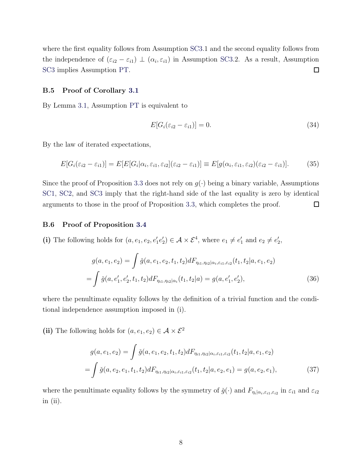where the first equality follows from Assumption [SC3.](#page-12-4)1 and the second equality follows from the independence of  $(\varepsilon_{i2} - \varepsilon_{i1}) \perp (\alpha_i, \varepsilon_{i1})$  in Assumption [SC3.](#page-12-4)2. As a result, Assumption [SC3](#page-12-4) implies Assumption [PT.](#page-6-2)  $\Box$ 

# <span id="page-37-0"></span>B.5 Proof of Corollary [3.1](#page-14-0)

By Lemma [3.1,](#page-8-3) Assumption [PT](#page-6-2) is equivalent to

$$
E[G_i(\varepsilon_{i2} - \varepsilon_{i1})] = 0. \tag{34}
$$

By the law of iterated expectations,

$$
E[G_i(\varepsilon_{i2}-\varepsilon_{i1})]=E[E[G_i|\alpha_i,\varepsilon_{i1},\varepsilon_{i2}](\varepsilon_{i2}-\varepsilon_{i1})]\equiv E[g(\alpha_i,\varepsilon_{i1},\varepsilon_{i2})(\varepsilon_{i2}-\varepsilon_{i1})].
$$
 (35)

Since the proof of Proposition [3.3](#page-13-1) does not rely on  $g(\cdot)$  being a binary variable, Assumptions [SC1,](#page-11-1) [SC2,](#page-12-0) and [SC3](#page-12-4) imply that the right-hand side of the last equality is zero by identical arguments to those in the proof of Proposition [3.3,](#page-13-1) which completes the proof.  $\Box$ 

### <span id="page-37-1"></span>B.6 Proof of Proposition [3.4](#page-14-1)

(i) The following holds for  $(a, e_1, e_2, e'_1e'_2) \in \mathcal{A} \times \mathcal{E}^4$ , where  $e_1 \neq e'_1$  and  $e_2 \neq e'_2$ ,

$$
g(a, e_1, e_2) = \int \check{g}(a, e_1, e_2, t_1, t_2) dF_{\eta_{i1}, \eta_{i2} | \alpha_i, \varepsilon_{i1}, \varepsilon_{i2}}(t_1, t_2 | a, e_1, e_2)
$$
  
= 
$$
\int \check{g}(a, e'_1, e'_2, t_1, t_2) dF_{\eta_{i1}, \eta_{i2} | \alpha_i}(t_1, t_2 | a) = g(a, e'_1, e'_2),
$$
 (36)

where the penultimate equality follows by the definition of a trivial function and the conditional independence assumption imposed in (i).

(ii) The following holds for  $(a, e_1, e_2) \in \mathcal{A} \times \mathcal{E}^2$ 

$$
g(a, e_1, e_2) = \int \check{g}(a, e_1, e_2, t_1, t_2) dF_{\eta_{i1}, \eta_{i2} | \alpha_i, \varepsilon_{i1}, \varepsilon_{i2}}(t_1, t_2 | a, e_1, e_2)
$$
  
= 
$$
\int \check{g}(a, e_2, e_1, t_1, t_2) dF_{\eta_{i1}, \eta_{i2} | \alpha_i, \varepsilon_{i1}, \varepsilon_{i2}}(t_1, t_2 | a, e_2, e_1) = g(a, e_2, e_1),
$$
 (37)

where the penultimate equality follows by the symmetry of  $\check{g}(\cdot)$  and  $F_{\eta_i|\alpha_i,\varepsilon_{i1},\varepsilon_{i2}}$  in  $\varepsilon_{i1}$  and  $\varepsilon_{i2}$ in  $(ii)$ .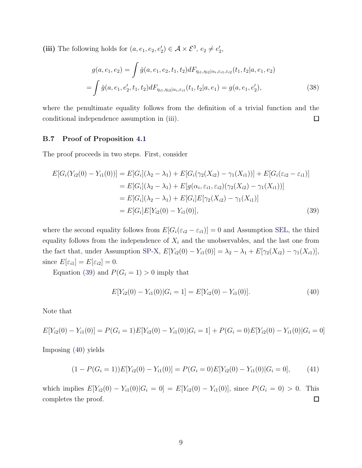(iii) The following holds for  $(a, e_1, e_2, e'_2) \in \mathcal{A} \times \mathcal{E}^3$ ,  $e_2 \neq e'_2$ ,

$$
g(a, e_1, e_2) = \int \check{g}(a, e_1, e_2, t_1, t_2) dF_{\eta_{i1}, \eta_{i2} | \alpha_i, \varepsilon_{i1}, \varepsilon_{i2}}(t_1, t_2 | a, e_1, e_2)
$$
  
= 
$$
\int \check{g}(a, e_1, e'_2, t_1, t_2) dF_{\eta_{i1}, \eta_{i2} | \alpha_i, \varepsilon_{i1}}(t_1, t_2 | a, e_1) = g(a, e_1, e'_2),
$$
 (38)

where the penultimate equality follows from the definition of a trivial function and the  $\Box$ conditional independence assumption in (iii).

# <span id="page-38-0"></span>B.7 Proof of Proposition [4.1](#page-16-2)

The proof proceeds in two steps. First, consider

$$
E[G_i(Y_{i2}(0) - Y_{i1}(0))] = E[G_i](\lambda_2 - \lambda_1) + E[G_i(\gamma_2(X_{i2}) - \gamma_1(X_{i1}))] + E[G_i(\varepsilon_{i2} - \varepsilon_{i1})]
$$
  
\n
$$
= E[G_i](\lambda_2 - \lambda_1) + E[g(\alpha_i, \varepsilon_{i1}, \varepsilon_{i2})(\gamma_2(X_{i2}) - \gamma_1(X_{i1}))]
$$
  
\n
$$
= E[G_i](\lambda_2 - \lambda_1) + E[G_i]E[\gamma_2(X_{i2}) - \gamma_1(X_{i1})]
$$
  
\n
$$
= E[G_i]E[Y_{i2}(0) - Y_{i1}(0)], \tag{39}
$$

where the second equality follows from  $E[G_i(\varepsilon_{i2} - \varepsilon_{i1})] = 0$  and Assumption [SEL,](#page-9-0) the third equality follows from the independence of  $X_i$  and the unobservables, and the last one from the fact that, under Assumption [SP-X,](#page-16-1)  $E[Y_{i2}(0) - Y_{i1}(0)] = \lambda_2 - \lambda_1 + E[\gamma_2(X_{i2}) - \gamma_1(X_{i1})],$ since  $E[\varepsilon_{i1}] = E[\varepsilon_{i2}] = 0.$ 

Equation [\(39\)](#page-38-1) and  $P(G_i = 1) > 0$  imply that

<span id="page-38-2"></span><span id="page-38-1"></span>
$$
E[Y_{i2}(0) - Y_{i1}(0)|G_i = 1] = E[Y_{i2}(0) - Y_{i1}(0)].
$$
\n(40)

Note that

$$
E[Y_{i2}(0) - Y_{i1}(0)] = P(G_i = 1)E[Y_{i2}(0) - Y_{i1}(0)|G_i = 1] + P(G_i = 0)E[Y_{i2}(0) - Y_{i1}(0)|G_i = 0]
$$

Imposing [\(40\)](#page-38-2) yields

$$
(1 - P(G_i = 1))E[Y_{i2}(0) - Y_{i1}(0)] = P(G_i = 0)E[Y_{i2}(0) - Y_{i1}(0)|G_i = 0],
$$
\n(41)

which implies  $E[Y_{i2}(0) - Y_{i1}(0)|G_i = 0] = E[Y_{i2}(0) - Y_{i1}(0)]$ , since  $P(G_i = 0) > 0$ . This completes the proof.  $\Box$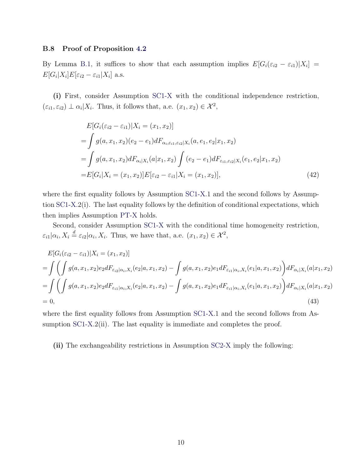# <span id="page-39-0"></span>B.8 Proof of Proposition [4.2](#page-18-1)

By Lemma [B.1,](#page-44-1) it suffices to show that each assumption implies  $E[G_i(\varepsilon_{i2} - \varepsilon_{i1})|X_i] =$  $E[G_i|X_i]E[\varepsilon_{i2}-\varepsilon_{i1}|X_i]$  a.s.

(i) First, consider Assumption [SC1-X](#page-17-2) with the conditional independence restriction,  $(\varepsilon_{i1}, \varepsilon_{i2}) \perp \alpha_i | X_i$ . Thus, it follows that, a.e.  $(x_1, x_2) \in \mathcal{X}^2$ ,

$$
E[G_i(\varepsilon_{i2} - \varepsilon_{i1})|X_i = (x_1, x_2)]
$$
  
=  $\int g(a, x_1, x_2)(e_2 - e_1) dF_{\alpha_i, \varepsilon_{i1}, \varepsilon_{i2}|X_i}(a, e_1, e_2|x_1, x_2)$   
=  $\int g(a, x_1, x_2) dF_{\alpha_i|X_i}(a|x_1, x_2) \int (e_2 - e_1) dF_{\varepsilon_{i1}, \varepsilon_{i2}|X_i}(e_1, e_2|x_1, x_2)$   
=  $E[G_i|X_i = (x_1, x_2)]E[\varepsilon_{i2} - \varepsilon_{i1}|X_i = (x_1, x_2)],$  (42)

where the first equality follows by Assumption [SC1-X.](#page-17-2)1 and the second follows by Assumption [SC1-X.](#page-17-2)2(i). The last equality follows by the definition of conditional expectations, which then implies Assumption [PT-X](#page-6-3) holds.

Second, consider Assumption [SC1-X](#page-17-2) with the conditional time homogeneity restriction,  $\varepsilon_{i1}|\alpha_i, X_i \stackrel{d}{=} \varepsilon_{i2}|\alpha_i, X_i$ . Thus, we have that, a.e.  $(x_1, x_2) \in \mathcal{X}^2$ ,

$$
E[G_i(\varepsilon_{i2} - \varepsilon_{i1})|X_i = (x_1, x_2)]
$$
  
= 
$$
\int \left( \int g(a, x_1, x_2) e_2 dF_{\varepsilon_{i2}|\alpha_i, X_i}(e_2|a, x_1, x_2) - \int g(a, x_1, x_2) e_1 dF_{\varepsilon_{i1}|\alpha_i, X_i}(e_1|a, x_1, x_2) \right) dF_{\alpha_i|X_i}(a|x_1, x_2)
$$
  
= 
$$
\int \left( \int g(a, x_1, x_2) e_2 dF_{\varepsilon_{i1}|\alpha_i, X_i}(e_2|a, x_1, x_2) - \int g(a, x_1, x_2) e_1 dF_{\varepsilon_{i1}|\alpha_i, X_i}(e_1|a, x_1, x_2) \right) dF_{\alpha_i|X_i}(a|x_1, x_2)
$$
  
= 0, (43)

where the first equality follows from Assumption [SC1-X.](#page-17-2)1 and the second follows from As-sumption [SC1-X.](#page-17-2)2(ii). The last equality is immediate and completes the proof.

(ii) The exchangeability restrictions in Assumption [SC2-X](#page-17-3) imply the following: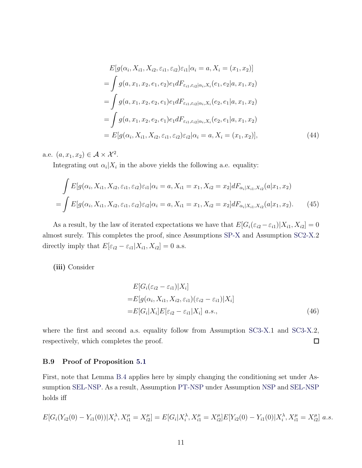$$
E[g(\alpha_i, X_{i1}, X_{i2}, \varepsilon_{i1}, \varepsilon_{i2})\varepsilon_{i1} | \alpha_i = a, X_i = (x_1, x_2)]
$$
  
= 
$$
\int g(a, x_1, x_2, e_1, e_2) e_1 dF_{\varepsilon_{i1}, \varepsilon_{i2} | \alpha_i, X_i}(e_1, e_2 | a, x_1, x_2)
$$
  
= 
$$
\int g(a, x_1, x_2, e_2, e_1) e_1 dF_{\varepsilon_{i1}, \varepsilon_{i2} | \alpha_i, X_i}(e_2, e_1 | a, x_1, x_2)
$$
  
= 
$$
\int g(a, x_1, x_2, e_2, e_1) e_1 dF_{\varepsilon_{i1}, \varepsilon_{i2} | \alpha_i, X_i}(e_2, e_1 | a, x_1, x_2)
$$
  
= 
$$
E[g(\alpha_i, X_{i1}, X_{i2}, \varepsilon_{i1}, \varepsilon_{i2})\varepsilon_{i2} | \alpha_i = a, X_i = (x_1, x_2)],
$$
 (44)

a.e.  $(a, x_1, x_2) \in \mathcal{A} \times \mathcal{X}^2$ .

Integrating out  $\alpha_i | X_i$  in the above yields the following a.e. equality:

$$
\int E[g(\alpha_i, X_{i1}, X_{i2}, \varepsilon_{i1}, \varepsilon_{i2})\varepsilon_{i1} | \alpha_i = a, X_{i1} = x_1, X_{i2} = x_2] dF_{\alpha_i | X_{i1}, X_{i2}}(a | x_1, x_2)
$$

$$
= \int E[g(\alpha_i, X_{i1}, X_{i2}, \varepsilon_{i1}, \varepsilon_{i2})\varepsilon_{i2} | \alpha_i = a, X_{i1} = x_1, X_{i2} = x_2] dF_{\alpha_i | X_{i1}, X_{i2}}(a | x_1, x_2).
$$
(45)

As a result, by the law of iterated expectations we have that  $E[G_i(\varepsilon_{i2} - \varepsilon_{i1})|X_{i1}, X_{i2}] = 0$ almost surely. This completes the proof, since Assumptions [SP-X](#page-16-1) and Assumption [SC2-X.](#page-17-3)2 directly imply that  $E[\varepsilon_{i2} - \varepsilon_{i1}|X_{i1}, X_{i2}] = 0$  a.s.

(iii) Consider

$$
E[G_i(\varepsilon_{i2} - \varepsilon_{i1})|X_i]
$$
  
= 
$$
E[g(\alpha_i, X_{i1}, X_{i2}, \varepsilon_{i1})(\varepsilon_{i2} - \varepsilon_{i1})|X_i]
$$
  
= 
$$
E[G_i|X_i]E[\varepsilon_{i2} - \varepsilon_{i1}|X_i] \ a.s.,
$$
 (46)

where the first and second a.s. equality follow from Assumption [SC3-X.](#page-17-4)1 and SC3-X.2,  $\Box$ respectively, which completes the proof.

# <span id="page-40-0"></span>B.9 Proof of Proposition [5.1](#page-21-4)

First, note that Lemma [B.4](#page-46-0) applies here by simply changing the conditioning set under Assumption [SEL-NSP.](#page-19-2) As a result, Assumption [PT-NSP](#page-7-1) under Assumption [NSP](#page-19-0) and [SEL-NSP](#page-19-2) holds iff

$$
E[G_i(Y_{i2}(0) - Y_{i1}(0)) | X_i^{\lambda}, X_{i1}^{\mu} = X_{i2}^{\mu}] = E[G_i | X_i^{\lambda}, X_{i1}^{\mu} = X_{i2}^{\mu}] E[Y_{i2}(0) - Y_{i1}(0) | X_i^{\lambda}, X_{i1}^{\mu} = X_{i2}^{\mu}] a.s.
$$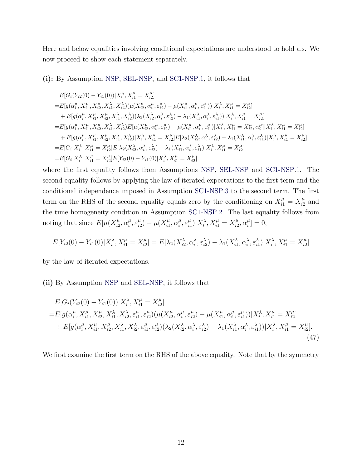Here and below equalities involving conditional expectations are understood to hold a.s. We now proceed to show each statement separately.

# (i): By Assumption [NSP,](#page-19-0) [SEL-NSP,](#page-19-2) and [SC1-NSP](#page-20-0)[.1,](#page-20-2) it follows that

$$
E[G_i(Y_{i2}(0) - Y_{i1}(0))|X_i^{\lambda}, X_{i1}^{\mu} = X_{i2}^{\mu}]
$$
\n
$$
= E[g(\alpha_i^{\mu}, X_{i1}^{\mu}, X_{i2}^{\mu}, X_{i1}^{\lambda}, X_{i2}^{\lambda})(\mu(X_{i2}^{\mu}, \alpha_i^{\mu}, \varepsilon_{i2}^{\mu}) - \mu(X_{i1}^{\mu}, \alpha_i^{\mu}, \varepsilon_{i1}^{\mu}))|X_i^{\lambda}, X_{i1}^{\mu} = X_{i2}^{\mu}]
$$
\n
$$
+ E[g(\alpha_i^{\mu}, X_{i1}^{\mu}, X_{i2}^{\mu}, X_{i1}^{\lambda}, X_{i2}^{\lambda})(\lambda_2(X_{i2}^{\lambda}, \alpha_i^{\lambda}, \varepsilon_{i2}^{\lambda}) - \lambda_1(X_{i1}^{\lambda}, \alpha_i^{\lambda}, \varepsilon_{i1}^{\lambda}))|X_i^{\lambda}, X_{i1}^{\mu} = X_{i2}^{\mu}]
$$
\n
$$
= E[g(\alpha_i^{\mu}, X_{i1}^{\mu}, X_{i2}^{\mu}, X_{i1}^{\lambda}, X_{i2}^{\lambda})E[\mu(X_{i2}^{\mu}, \alpha_i^{\mu}, \varepsilon_{i2}^{\mu}) - \mu(X_{i1}^{\mu}, \alpha_i^{\mu}, \varepsilon_{i1}^{\mu})|X_i^{\lambda}, X_{i1}^{\mu} = X_{i2}^{\mu}, \alpha_i^{\mu}|]X_i^{\lambda}, X_{i1}^{\mu} = X_{i2}^{\mu}]
$$
\n
$$
+ E[g(\alpha_i^{\mu}, X_{i1}^{\mu}, X_{i2}^{\mu}, X_{i1}^{\lambda}, X_{i2}^{\lambda})|X_i^{\lambda}, X_{i1}^{\mu} = X_{i2}^{\mu}]E[\lambda_2(X_{i2}^{\lambda}, \alpha_i^{\lambda}, \varepsilon_{i2}^{\lambda}) - \lambda_1(X_{i1}^{\lambda}, \alpha_i^{\lambda}, \varepsilon_{i1}^{\lambda})|X_i^{\lambda}, X_{i1}^{\mu} = X_{i2}^{\mu}]
$$
\n
$$
= E[G_i|X_i^{\lambda}, X_{i1}^{\mu} = X_{i2}^{\mu}]E[\lambda_2(X_{i2}^{\lambda}, \alpha_i^{\lambda}, \varepsilon_{i2}^{\lambda}) -
$$

where the first equality follows from Assumptions [NSP,](#page-19-0) [SEL-NSP](#page-19-2) and [SC1-NSP](#page-20-0)[.1.](#page-20-2) The second equality follows by applying the law of iterated expectations to the first term and the conditional independence imposed in Assumption [SC1-NSP.](#page-20-0)[3](#page-20-3) to the second term. The first term on the RHS of the second equality equals zero by the conditioning on  $X_{i1}^{\mu} = X_{i2}^{\mu}$  $\frac{\mu}{i2}$  and the time homogeneity condition in Assumption [SC1-NSP](#page-20-0)[.2.](#page-20-4) The last equality follows from noting that since  $E[\mu(X_{i2}^{\mu})]$  $\mu_{i2}^{\mu}, \alpha_i^{\mu}$  $\mu_i^{\mu}, \varepsilon_{i2}^{\mu}$  $\mu_{i2}^{\mu}) - \mu(X_{i1}^{\mu})$  $\frac{\mu}{i1}, \alpha_i^{\mu}$  $\mu_i^{\mu}, \varepsilon_{i1}^{\mu}$  $_{i1}^{\mu})|X_i^{\lambda}, X_{i1}^{\mu}=X_{i2}^{\mu}$  $\mu_{i2}^{\mu}, \alpha_i^{\mu}$  $\binom{\mu}{i} = 0,$ 

$$
E[Y_{i2}(0) - Y_{i1}(0)|X_i^{\lambda}, X_{i1}^{\mu} = X_{i2}^{\mu}] = E[\lambda_2(X_{i2}^{\lambda}, \alpha_i^{\lambda}, \varepsilon_{i2}^{\lambda}) - \lambda_1(X_{i1}^{\lambda}, \alpha_i^{\lambda}, \varepsilon_{i1}^{\lambda})|X_i^{\lambda}, X_{i1}^{\mu} = X_{i2}^{\mu}]
$$

by the law of iterated expectations.

(ii) By Assumption [NSP](#page-19-0) and [SEL-NSP,](#page-19-2) it follows that

<span id="page-41-0"></span>
$$
E[G_i(Y_{i2}(0) - Y_{i1}(0))|X_i^{\lambda}, X_{i1}^{\mu} = X_{i2}^{\mu}]
$$
  
\n
$$
= E[g(\alpha_i^{\mu}, X_{i1}^{\mu}, X_{i2}^{\mu}, X_{i1}^{\lambda}, X_{i2}^{\lambda}, \varepsilon_{i1}^{\mu}, \varepsilon_{i2}^{\mu})(\mu(X_{i2}^{\mu}, \alpha_i^{\mu}, \varepsilon_{i2}^{\mu}) - \mu(X_{i1}^{\mu}, \alpha_i^{\mu}, \varepsilon_{i1}^{\mu}))|X_i^{\lambda}, X_{i1}^{\mu} = X_{i2}^{\mu}]
$$
  
\n
$$
+ E[g(\alpha_i^{\mu}, X_{i1}^{\mu}, X_{i2}^{\mu}, X_{i1}^{\lambda}, X_{i2}^{\lambda}, \varepsilon_{i1}^{\mu}, \varepsilon_{i2}^{\mu})(\lambda_2(X_{i2}^{\lambda}, \alpha_i^{\lambda}, \varepsilon_{i2}^{\lambda}) - \lambda_1(X_{i1}^{\lambda}, \alpha_i^{\lambda}, \varepsilon_{i1}^{\lambda}))|X_i^{\lambda}, X_{i1}^{\mu} = X_{i2}^{\mu}].
$$
\n(47)

We first examine the first term on the RHS of the above equality. Note that by the symmetry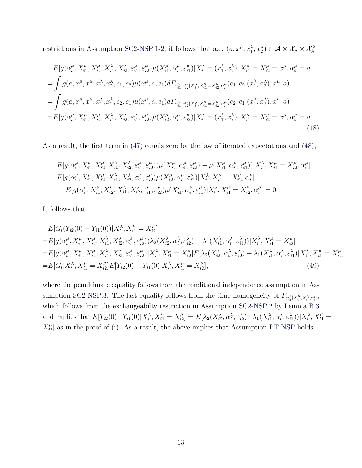restrictions in Assumption [SC2-NSP](#page-20-1)[.1](#page-20-5)[-2,](#page-20-6) it follows that a.e.  $(a, x^{\mu}, x_1^{\lambda}, x_2^{\lambda}) \in \mathcal{A} \times \mathcal{X}_{\mu} \times \mathcal{X}_{\lambda}^2$ 

$$
E[g(\alpha_i^{\mu}, X_{i1}^{\mu}, X_{i2}^{\mu}, X_{i1}^{\lambda}, X_{i2}^{\lambda}, \varepsilon_{i1}^{\mu}, \varepsilon_{i2}^{\mu})\mu(X_{i1}^{\mu}, \alpha_i^{\mu}, \varepsilon_{i1}^{\mu})|X_i^{\lambda} = (x_1^{\lambda}, x_2^{\lambda}), X_{i1}^{\mu} = X_{i2}^{\mu} = x^{\mu}, \alpha_i^{\mu} = a]
$$
  
\n
$$
= \int g(a, x^{\mu}, x^{\mu}, x_1^{\lambda}, x_2^{\lambda}, e_1, e_2) \mu(x^{\mu}, a, e_1) dF_{\varepsilon_{i1}^{\mu}, \varepsilon_{i2}^{\mu}|X_i^{\lambda}, X_{i1}^{\mu} = X_{i2}^{\mu}, \alpha_i^{\mu} (e_1, e_2 | (x_1^{\lambda}, x_2^{\lambda}), x^{\mu}, a)
$$
  
\n
$$
= \int g(a, x^{\mu}, x^{\mu}, x_1^{\lambda}, x_2^{\lambda}, e_2, e_1) \mu(x^{\mu}, a, e_1) dF_{\varepsilon_{i1}^{\mu}, \varepsilon_{i2}^{\mu}|X_i^{\lambda}, X_{i1}^{\mu} = X_{i2}^{\mu}, \alpha_i^{\mu} (e_2, e_1 | (x_1^{\lambda}, x_2^{\lambda}), x^{\mu}, a)
$$
  
\n
$$
= E[g(\alpha_i^{\mu}, X_{i1}^{\mu}, X_{i2}^{\mu}, X_{i1}^{\lambda}, X_{i2}^{\lambda}, \varepsilon_{i1}^{\mu}, \varepsilon_{i2}^{\mu})\mu(X_{i2}^{\mu}, \alpha_i^{\mu}, \varepsilon_{i2}^{\mu})|X_i^{\lambda} = (x_1^{\lambda}, x_2^{\lambda}), X_{i1}^{\mu} = X_{i2}^{\mu} = x^{\mu}, \alpha_i^{\mu} = a].
$$
\n(48)

As a result, the first term in [\(47\)](#page-41-0) equals zero by the law of iterated expectations and [\(48\)](#page-42-0),

<span id="page-42-0"></span>
$$
E[g(\alpha_i^{\mu}, X_{i1}^{\mu}, X_{i2}^{\mu}, X_{i1}^{\lambda}, X_{i2}^{\lambda}, \varepsilon_{i1}^{\mu}, \varepsilon_{i2}^{\mu})(\mu(X_{i2}^{\mu}, \alpha_i^{\mu}, \varepsilon_{i2}^{\mu}) - \mu(X_{i1}^{\mu}, \alpha_i^{\mu}, \varepsilon_{i1}^{\mu}))|X_i^{\lambda}, X_{i1}^{\mu} = X_{i2}^{\mu}, \alpha_i^{\mu}]
$$
  
= 
$$
E[g(\alpha_i^{\mu}, X_{i1}^{\mu}, X_{i2}^{\mu}, X_{i1}^{\lambda}, X_{i2}^{\lambda}, \varepsilon_{i1}^{\mu}, \varepsilon_{i2}^{\mu})\mu(X_{i2}^{\mu}, \alpha_i^{\mu}, \varepsilon_{i2}^{\mu})|X_i^{\lambda}, X_{i1}^{\mu} = X_{i2}^{\mu}, \alpha_i^{\mu}]
$$

$$
- E[g(\alpha_i^{\mu}, X_{i1}^{\mu}, X_{i2}^{\mu}, X_{i1}^{\lambda}, X_{i2}^{\lambda}, \varepsilon_{i1}^{\mu}, \varepsilon_{i2}^{\mu})\mu(X_{i1}^{\mu}, \alpha_i^{\mu}, \varepsilon_{i1}^{\mu})|X_i^{\lambda}, X_{i1}^{\mu} = X_{i2}^{\mu}, \alpha_i^{\mu}] = 0
$$

It follows that

$$
E[G_i(Y_{i2}(0) - Y_{i1}(0))|X_i^{\lambda}, X_{i1}^{\mu} = X_{i2}^{\mu}]
$$
  
\n
$$
= E[g(\alpha_i^{\mu}, X_{i1}^{\mu}, X_{i2}^{\mu}, X_{i1}^{\lambda}, X_{i2}^{\lambda}, \varepsilon_{i1}^{\mu}, \varepsilon_{i2}^{\mu})(\lambda_2(X_{i2}^{\lambda}, \alpha_i^{\lambda}, \varepsilon_{i2}^{\lambda}) - \lambda_1(X_{i1}^{\lambda}, \alpha_i^{\lambda}, \varepsilon_{i1}^{\lambda}))|X_i^{\lambda}, X_{i1}^{\mu} = X_{i2}^{\mu}]
$$
  
\n
$$
= E[g(\alpha_i^{\mu}, X_{i1}^{\mu}, X_{i2}^{\mu}, X_{i1}^{\lambda}, X_{i2}^{\lambda}, \varepsilon_{i1}^{\mu}, \varepsilon_{i2}^{\mu})|X_i^{\lambda}, X_{i1}^{\mu} = X_{i2}^{\mu}]E[\lambda_2(X_{i2}^{\lambda}, \alpha_i^{\lambda}, \varepsilon_{i2}^{\lambda}) - \lambda_1(X_{i1}^{\lambda}, \alpha_i^{\lambda}, \varepsilon_{i1}^{\lambda})|X_i^{\lambda}, X_{i1}^{\mu} = X_{i2}^{\mu}]
$$
  
\n
$$
= E[G_i|X_i^{\lambda}, X_{i1}^{\mu} = X_{i2}^{\mu}]E[Y_{i2}(0) - Y_{i1}(0)|X_i^{\lambda}, X_{i1}^{\mu} = X_{i2}^{\mu}],
$$
  
\n(49)

where the penultimate equality follows from the conditional independence assumption in As-sumption [SC2-NSP](#page-20-1)[.3.](#page-20-7) The last equality follows from the time homogeneity of  $F_{\varepsilon_{it}^{\mu}|X_i^{\mu},X_i^{\lambda},\alpha_i^{\mu}},$ which follows from the exchangeabilty restriction in Assumption [SC2-NSP](#page-20-1)[.2](#page-20-6) by Lemma [B.3](#page-45-1) and implies that  $E[Y_{i2}(0) - Y_{i1}(0)|X_i^{\lambda}, X_{i1}^{\mu} = X_{i2}^{\mu})$  $\mathcal{L}[\lambda_1^{\mu}] = E[\lambda_2(X_{i2}^{\lambda}, \alpha_i^{\lambda}, \varepsilon_{i2}^{\lambda}) - \lambda_1(X_{i1}^{\lambda}, \alpha_i^{\lambda}, \varepsilon_{i1}^{\lambda}))|X_i^{\lambda}, X_{i1}^{\mu} =$  $X_{i2}^{\mu}$  $\binom{\mu}{i2}$  as in the proof of (i). As a result, the above implies that Assumption [PT-NSP](#page-7-1) holds.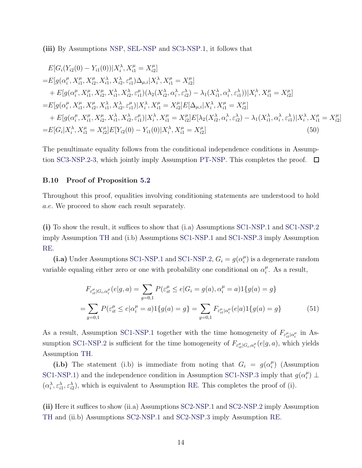(iii) By Assumptions [NSP,](#page-19-0) [SEL-NSP](#page-19-2) and [SC3-NSP](#page-21-1)[.1,](#page-21-5) it follows that

$$
E[G_i(Y_{i2}(0) - Y_{i1}(0))|X_i^{\lambda}, X_{i1}^{\mu} = X_{i2}^{\mu}]
$$
  
\n
$$
= E[g(\alpha_i^{\mu}, X_{i1}^{\mu}, X_{i2}^{\mu}, X_{i1}^{\lambda}, X_{i2}^{\lambda}, \varepsilon_{i1}^{\mu})\Delta_{\mu,i}|X_i^{\lambda}, X_{i1}^{\mu} = X_{i2}^{\mu}]
$$
  
\n
$$
+ E[g(\alpha_i^{\mu}, X_{i1}^{\mu}, X_{i2}^{\mu}, X_{i1}^{\lambda}, X_{i2}^{\lambda}, \varepsilon_{i1}^{\mu}) (\lambda_2(X_{i2}^{\lambda}, \alpha_i^{\lambda}, \varepsilon_{i2}^{\lambda}) - \lambda_1(X_{i1}^{\lambda}, \alpha_i^{\lambda}, \varepsilon_{i1}^{\lambda}))|X_i^{\lambda}, X_{i1}^{\mu} = X_{i2}^{\mu}]
$$
  
\n
$$
= E[g(\alpha_i^{\mu}, X_{i1}^{\mu}, X_{i2}^{\mu}, X_{i1}^{\lambda}, X_{i2}^{\lambda}, \varepsilon_{i1}^{\mu})|X_i^{\lambda}, X_{i1}^{\mu} = X_{i2}^{\mu}]E[\Delta_{\mu,i}|X_i^{\lambda}, X_{i1}^{\mu} = X_{i2}^{\mu}]
$$
  
\n
$$
+ E[g(\alpha_i^{\mu}, X_{i1}^{\mu}, X_{i2}^{\mu}, X_{i1}^{\lambda}, X_{i2}^{\lambda}, \varepsilon_{i1}^{\mu})|X_i^{\lambda}, X_i^{\mu} = X_{i2}^{\mu}]E[\lambda_2(X_{i2}^{\lambda}, \alpha_i^{\lambda}, \varepsilon_{i2}^{\lambda}) - \lambda_1(X_{i1}^{\lambda}, \alpha_i^{\lambda}, \varepsilon_{i1}^{\lambda})|X_i^{\lambda}, X_{i1}^{\mu} = X_{i2}^{\mu}]
$$
  
\n
$$
= E[G_i|X_i^{\lambda}, X_{i1}^{\mu} = X_{i2}^{\mu}]E[Y_{i2}(0) - Y_{i1}(0)|X_i^{\lambda}, X_{i1}^{\mu} = X_{i2}^{\mu}]
$$
  
\n(50)

The penultimate equality follows from the conditional independence conditions in Assump-tion [SC3-NSP.](#page-21-1)[2-](#page-21-2)[3,](#page-21-3) which jointly imply Assumption [PT-NSP.](#page-7-1) This completes the proof.  $\Box$ 

# <span id="page-43-0"></span>B.10 Proof of Proposition [5.2](#page-23-3)

Throughout this proof, equalities involving conditioning statements are understood to hold a.e. We proceed to show each result separately.

(i) To show the result, it suffices to show that (i.a) Assumptions [SC1-NSP.](#page-20-0)[1](#page-20-2) and [SC1-NSP.](#page-20-0)[2](#page-20-4) imply Assumption [TH](#page-23-0) and (i.b) Assumptions [SC1-NSP](#page-20-0)[.1](#page-20-2) and [SC1-NSP.](#page-20-0)[3](#page-20-3) imply Assumption [RE.](#page-23-1)

(i.a) Under Assumptions [SC1-NSP](#page-20-0)[.1](#page-20-2) and SC1-NSP[.2,](#page-20-4)  $G_i = g(\alpha_i^{\mu})$  $\binom{\mu}{i}$  is a degenerate random variable equaling either zero or one with probability one conditional on  $\alpha_i^{\mu}$  $i<sup>\mu</sup>$ . As a result,

$$
F_{\varepsilon_{it}^{\mu}|G_i,\alpha_i^{\mu}}(e|g,a) = \sum_{g=0,1} P(\varepsilon_{it}^{\mu} \le e|G_i = g(a), \alpha_i^{\mu} = a)1\{g(a) = g\}
$$
  
= 
$$
\sum_{g=0,1} P(\varepsilon_{it}^{\mu} \le e|\alpha_i^{\mu} = a)1\{g(a) = g\} = \sum_{g=0,1} F_{\varepsilon_{it}^{\mu}|\alpha_i^{\mu}}(e|a)1\{g(a) = g\}
$$
(51)

As a result, Assumption [SC1-NSP.](#page-20-0)[1](#page-20-2) together with the time homogeneity of  $F_{\varepsilon_{it}^{\mu}|\alpha_i^{\mu}}$  in As-sumption [SC1-NSP.](#page-20-0)[2](#page-20-4) is sufficient for the time homogeneity of  $F_{\varepsilon_{it}^{\mu}|G_i,\alpha_i^{\mu}}(e|g,a)$ , which yields Assumption [TH.](#page-23-0)

(i.b) The statement (i.b) is immediate from noting that  $G_i = g(\alpha_i^{\mu})$  $\binom{\mu}{i}$  (Assumption [SC1-NSP.](#page-20-0)[1\)](#page-20-2) and the independence condition in Assumption SC1-NSP.[3](#page-20-3) imply that  $g(\alpha_i^{\mu})$  $\binom{\mu}{i}$   $\perp$  $(\alpha_i^{\lambda}, \varepsilon_{i1}^{\lambda}, \varepsilon_{i2}^{\lambda})$ , which is equivalent to Assumption [RE.](#page-23-1) This completes the proof of (i).

(ii) Here it suffices to show (ii.a) Assumptions [SC2-NSP.](#page-20-1)[1](#page-20-5) and [SC2-NSP](#page-20-1)[.2](#page-20-6) imply Assumption [TH](#page-23-0) and (ii.b) Assumptions [SC2-NSP](#page-20-1)[.1](#page-20-5) and [SC2-NSP](#page-20-1)[.3](#page-20-7) imply Assumption [RE.](#page-23-1)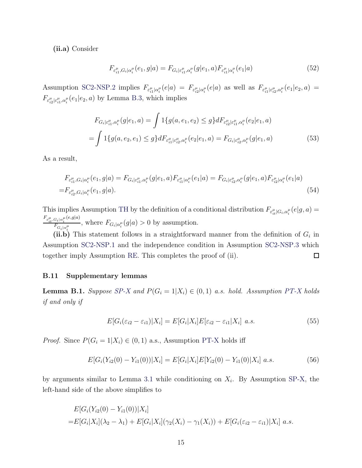(ii.a) Consider

$$
F_{\varepsilon_{i1}^{\mu},G_i|\alpha_i^{\mu}}(e_1,g|a) = F_{G_i|\varepsilon_{i1}^{\mu},\alpha_i^{\mu}}(g|e_1,a)F_{\varepsilon_{i1}^{\mu}|\alpha_i^{\mu}}(e_1|a)
$$
(52)

Assumption [SC2-NSP](#page-20-1)[.2](#page-20-6) implies  $F_{\varepsilon_{i1}^{\mu}|\alpha_{i}^{\mu}}(e|a) = F_{\varepsilon_{i2}^{\mu}|\alpha_{i}^{\mu}}(e|a)$  as well as  $F_{\varepsilon_{i1}^{\mu}|\varepsilon_{i2}^{\mu},\alpha_{i}^{\mu}}(e_1|e_2,a)$  $F_{\varepsilon_{i2}^{\mu}|\varepsilon_{i1}^{\mu},\alpha_{i}^{\mu}}(e_{1}|e_{2},a)$  by Lemma [B.3,](#page-45-1) which implies

$$
F_{G_i|\varepsilon_{i1}^{\mu},\alpha_i^{\mu}}(g|e_1,a) = \int 1\{g(a,e_1,e_2) \le g\} dF_{\varepsilon_{i2}^{\mu}|\varepsilon_{i1}^{\mu},\alpha_i^{\mu}}(e_2|e_1,a)
$$
  
= 
$$
\int 1\{g(a,e_2,e_1) \le g\} dF_{\varepsilon_{i1}^{\mu}|\varepsilon_{i2}^{\mu},\alpha_i^{\mu}}(e_2|e_1,a) = F_{G_i|\varepsilon_{i2}^{\mu},\alpha_i^{\mu}}(g|e_1,a)
$$
(53)

As a result,

$$
F_{\varepsilon_{i1}^{\mu},G_{i}|\alpha_{i}^{\mu}}(e_{1},g|a) = F_{G_{i}|\varepsilon_{i1}^{\mu},\alpha_{i}^{\mu}}(g|e_{1},a)F_{\varepsilon_{i1}^{\mu}|\alpha_{i}^{\mu}}(e_{1}|a) = F_{G_{i}|\varepsilon_{i2}^{\mu},\alpha_{i}^{\mu}}(g|e_{1},a)F_{\varepsilon_{i2}^{\mu}|\alpha_{i}^{\mu}}(e_{1}|a)
$$
  
=  $F_{\varepsilon_{i2}^{\mu},G_{i}|\alpha_{i}^{\mu}}(e_{1},g|a).$  (54)

This implies Assumption [TH](#page-23-0) by the definition of a conditional distribution  $F_{\varepsilon_{it}^{\mu}|G_i,\alpha_i^{\mu}}(e|g, a) =$  $F_{\varepsilon_{it}^{\mu},G_{i}|\alpha_{i}^{\mu}}(e,g|a)$  $F_{G_i|\alpha_i^{\mu}}$ , where  $F_{G_i|\alpha_i^{\mu}}(g|a) > 0$  by assumption.

(ii.b) This statement follows in a straightforward manner from the definition of  $G_i$  in Assumption [SC2-NSP.](#page-20-1)[1](#page-20-5) and the independence condition in Assumption [SC2-NSP.](#page-20-1)[3](#page-20-7) which together imply Assumption [RE.](#page-23-1) This completes the proof of (ii).  $\Box$ 

# <span id="page-44-0"></span>B.11 Supplementary lemmas

<span id="page-44-1"></span>**Lemma B.1.** Suppose [SP-X](#page-16-1) and  $P(G_i = 1 | X_i) \in (0, 1)$  a.s. hold. Assumption [PT-X](#page-6-3) holds if and only if

$$
E[G_i(\varepsilon_{i2} - \varepsilon_{i1})|X_i] = E[G_i|X_i]E[\varepsilon_{i2} - \varepsilon_{i1}|X_i] \ a.s.
$$
\n
$$
(55)
$$

*Proof.* Since  $P(G_i = 1 | X_i) \in (0, 1)$  a.s., Assumption [PT-X](#page-6-3) holds iff

$$
E[G_i(Y_{i2}(0) - Y_{i1}(0))|X_i] = E[G_i|X_i]E[Y_{i2}(0) - Y_{i1}(0)|X_i] \ a.s.
$$
\n(56)

by arguments similar to Lemma [3.1](#page-8-3) while conditioning on  $X_i$ . By Assumption [SP-X,](#page-16-1) the left-hand side of the above simplifies to

$$
E[G_i(Y_{i2}(0) - Y_{i1}(0))|X_i]
$$
  
= 
$$
E[G_i|X_i](\lambda_2 - \lambda_1) + E[G_i|X_i](\gamma_2(X_i) - \gamma_1(X_i)) + E[G_i(\varepsilon_{i2} - \varepsilon_{i1})|X_i] \ a.s.
$$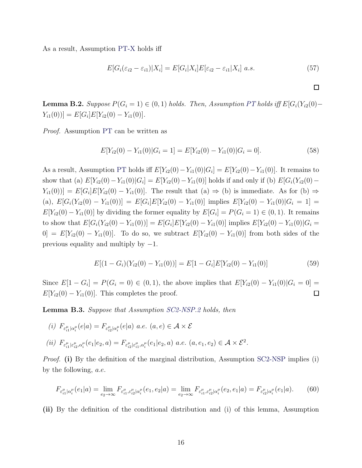As a result, Assumption [PT-X](#page-6-3) holds iff

$$
E[G_i(\varepsilon_{i2} - \varepsilon_{i1})|X_i] = E[G_i|X_i]E[\varepsilon_{i2} - \varepsilon_{i1}|X_i] \ a.s.
$$
\n
$$
(57)
$$

 $\Box$ 

<span id="page-45-0"></span>**Lemma B.2.** Suppose  $P(G_i = 1) \in (0, 1)$  holds. Then, Assumption [PT](#page-6-2) holds iff  $E[G_i(Y_{i2}(0) Y_{i1}(0))] = E[G_i]E[Y_{i2}(0) - Y_{i1}(0)].$ 

Proof. Assumption [PT](#page-6-2) can be written as

$$
E[Y_{i2}(0) - Y_{i1}(0)|G_i = 1] = E[Y_{i2}(0) - Y_{i1}(0)|G_i = 0].
$$
\n(58)

As a result, Assumption [PT](#page-6-2) holds iff  $E[Y_{i2}(0) - Y_{i1}(0)|G_i] = E[Y_{i2}(0) - Y_{i1}(0)]$ . It remains to show that (a)  $E[Y_{i2}(0) - Y_{i1}(0)|G_i] = E[Y_{i2}(0) - Y_{i1}(0)]$  holds if and only if (b)  $E[G_i(Y_{i2}(0) - Y_{i2}(0))]$  $Y_{i1}(0)$ ] =  $E[G_i]E[Y_{i2}(0) - Y_{i1}(0)]$ . The result that (a)  $\Rightarrow$  (b) is immediate. As for (b)  $\Rightarrow$ (a),  $E[G_i(Y_{i2}(0) - Y_{i1}(0))] = E[G_i]E[Y_{i2}(0) - Y_{i1}(0)]$  implies  $E[Y_{i2}(0) - Y_{i1}(0)|G_i = 1]$  $E[Y_{i2}(0) - Y_{i1}(0)]$  by dividing the former equality by  $E[G_i] = P(G_i = 1) \in (0, 1)$ . It remains to show that  $E[G_i(Y_{i2}(0) - Y_{i1}(0))] = E[G_i]E[Y_{i2}(0) - Y_{i1}(0)]$  implies  $E[Y_{i2}(0) - Y_{i1}(0)]G_i =$  $[0] = E[Y_{i2}(0) - Y_{i1}(0)].$  To do so, we subtract  $E[Y_{i2}(0) - Y_{i1}(0)]$  from both sides of the previous equality and multiply by  $-1$ .

$$
E[(1 - G_i)(Y_{i2}(0) - Y_{i1}(0))] = E[1 - G_i]E[Y_{i2}(0) - Y_{i1}(0)]
$$
\n(59)

Since  $E[1 - G_i] = P(G_i = 0) \in (0, 1)$ , the above implies that  $E[Y_{i2}(0) - Y_{i1}(0)|G_i = 0] =$  $E[Y_{i2}(0) - Y_{i1}(0)]$ . This completes the proof.  $\Box$ 

<span id="page-45-1"></span>Lemma B.3. Suppose that Assumption [SC2-NSP.](#page-20-1)[2](#page-20-6) holds, then

(i) 
$$
F_{\varepsilon_{i1}^{\mu}| \alpha_i^{\mu}}(e|a) = F_{\varepsilon_{i2}^{\mu}| \alpha_i^{\mu}}(e|a) \ a.e. \ (a, e) \in \mathcal{A} \times \mathcal{E}
$$
  
\n(ii)  $F_{\varepsilon_{i1}^{\mu}| \varepsilon_{i2}^{\mu}, \alpha_i^{\mu}}(e_1|e_2, a) = F_{\varepsilon_{i2}^{\mu}| \varepsilon_{i1}^{\mu}, \alpha_i^{\mu}}(e_1|e_2, a) \ a.e. \ (a, e_1, e_2) \in \mathcal{A} \times \mathcal{E}^2$ .

*Proof.* (i) By the definition of the marginal distribution, Assumption [SC2-NSP](#page-20-1) implies (i) by the following, a.e.

$$
F_{\varepsilon_{i1}^{\mu}|{\alpha_i^{\mu}}} (e_1|a) = \lim_{e_2 \to \infty} F_{\varepsilon_{i1}^{\mu}, \varepsilon_{i2}^{\mu}|{\alpha_i^{\mu}}} (e_1, e_2|a) = \lim_{e_2 \to \infty} F_{\varepsilon_{i1}^{\mu}, \varepsilon_{i2}^{\mu}|{\alpha_i^{\mu}}} (e_2, e_1|a) = F_{\varepsilon_{i2}^{\mu}|{\alpha_i^{\mu}}} (e_1|a). \tag{60}
$$

(ii) By the definition of the conditional distribution and (i) of this lemma, Assumption